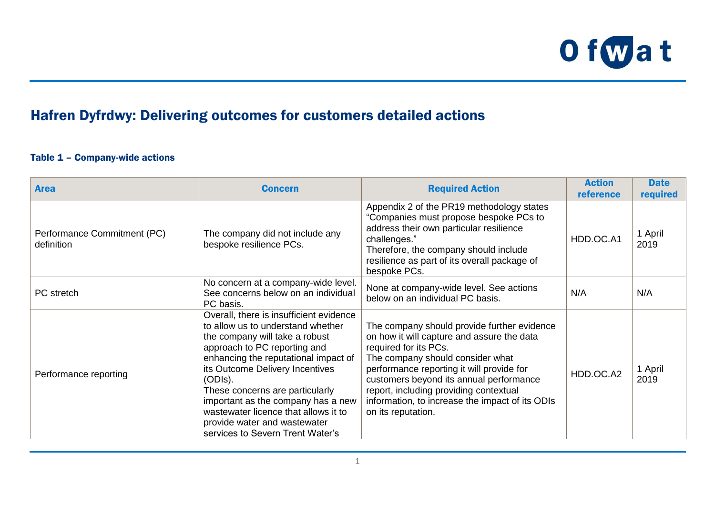

## Hafren Dyfrdwy: Delivering outcomes for customers detailed actions

## Table 1 – Company-wide actions

| <b>Area</b>                               | <b>Concern</b>                                                                                                                                                                                                                                                                                                                                                                                                            | <b>Required Action</b>                                                                                                                                                                                                                                                                                                                                            | <b>Action</b><br>reference | <b>Date</b><br>required |
|-------------------------------------------|---------------------------------------------------------------------------------------------------------------------------------------------------------------------------------------------------------------------------------------------------------------------------------------------------------------------------------------------------------------------------------------------------------------------------|-------------------------------------------------------------------------------------------------------------------------------------------------------------------------------------------------------------------------------------------------------------------------------------------------------------------------------------------------------------------|----------------------------|-------------------------|
| Performance Commitment (PC)<br>definition | The company did not include any<br>bespoke resilience PCs.                                                                                                                                                                                                                                                                                                                                                                | Appendix 2 of the PR19 methodology states<br>"Companies must propose bespoke PCs to<br>address their own particular resilience<br>challenges."<br>Therefore, the company should include<br>resilience as part of its overall package of<br>bespoke PCs.                                                                                                           | HDD.OC.A1                  | 1 April<br>2019         |
| PC stretch                                | No concern at a company-wide level.<br>See concerns below on an individual<br>PC basis.                                                                                                                                                                                                                                                                                                                                   | None at company-wide level. See actions<br>below on an individual PC basis.                                                                                                                                                                                                                                                                                       | N/A                        | N/A                     |
| Performance reporting                     | Overall, there is insufficient evidence<br>to allow us to understand whether<br>the company will take a robust<br>approach to PC reporting and<br>enhancing the reputational impact of<br>its Outcome Delivery Incentives<br>(ODIs).<br>These concerns are particularly<br>important as the company has a new<br>wastewater licence that allows it to<br>provide water and wastewater<br>services to Severn Trent Water's | The company should provide further evidence<br>on how it will capture and assure the data<br>required for its PCs.<br>The company should consider what<br>performance reporting it will provide for<br>customers beyond its annual performance<br>report, including providing contextual<br>information, to increase the impact of its ODIs<br>on its reputation. | HDD.OC.A2                  | 1 April<br>2019         |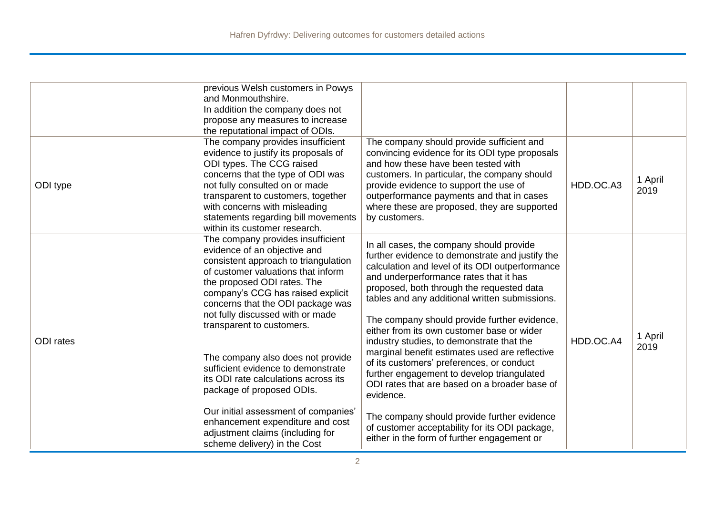| ODI type  | previous Welsh customers in Powys<br>and Monmouthshire.<br>In addition the company does not<br>propose any measures to increase<br>the reputational impact of ODIs.<br>The company provides insufficient<br>evidence to justify its proposals of<br>ODI types. The CCG raised<br>concerns that the type of ODI was<br>not fully consulted on or made<br>transparent to customers, together<br>with concerns with misleading<br>statements regarding bill movements                                                                                                                                                                                         | The company should provide sufficient and<br>convincing evidence for its ODI type proposals<br>and how these have been tested with<br>customers. In particular, the company should<br>provide evidence to support the use of<br>outperformance payments and that in cases<br>where these are proposed, they are supported<br>by customers.                                                                                                                                                                                                                                                                                                                                                                                                                                                    | HDD.OC.A3 | 1 April<br>2019 |
|-----------|------------------------------------------------------------------------------------------------------------------------------------------------------------------------------------------------------------------------------------------------------------------------------------------------------------------------------------------------------------------------------------------------------------------------------------------------------------------------------------------------------------------------------------------------------------------------------------------------------------------------------------------------------------|-----------------------------------------------------------------------------------------------------------------------------------------------------------------------------------------------------------------------------------------------------------------------------------------------------------------------------------------------------------------------------------------------------------------------------------------------------------------------------------------------------------------------------------------------------------------------------------------------------------------------------------------------------------------------------------------------------------------------------------------------------------------------------------------------|-----------|-----------------|
| ODI rates | within its customer research.<br>The company provides insufficient<br>evidence of an objective and<br>consistent approach to triangulation<br>of customer valuations that inform<br>the proposed ODI rates. The<br>company's CCG has raised explicit<br>concerns that the ODI package was<br>not fully discussed with or made<br>transparent to customers.<br>The company also does not provide<br>sufficient evidence to demonstrate<br>its ODI rate calculations across its<br>package of proposed ODIs.<br>Our initial assessment of companies'<br>enhancement expenditure and cost<br>adjustment claims (including for<br>scheme delivery) in the Cost | In all cases, the company should provide<br>further evidence to demonstrate and justify the<br>calculation and level of its ODI outperformance<br>and underperformance rates that it has<br>proposed, both through the requested data<br>tables and any additional written submissions.<br>The company should provide further evidence,<br>either from its own customer base or wider<br>industry studies, to demonstrate that the<br>marginal benefit estimates used are reflective<br>of its customers' preferences, or conduct<br>further engagement to develop triangulated<br>ODI rates that are based on a broader base of<br>evidence.<br>The company should provide further evidence<br>of customer acceptability for its ODI package,<br>either in the form of further engagement or | HDD.OC.A4 | 1 April<br>2019 |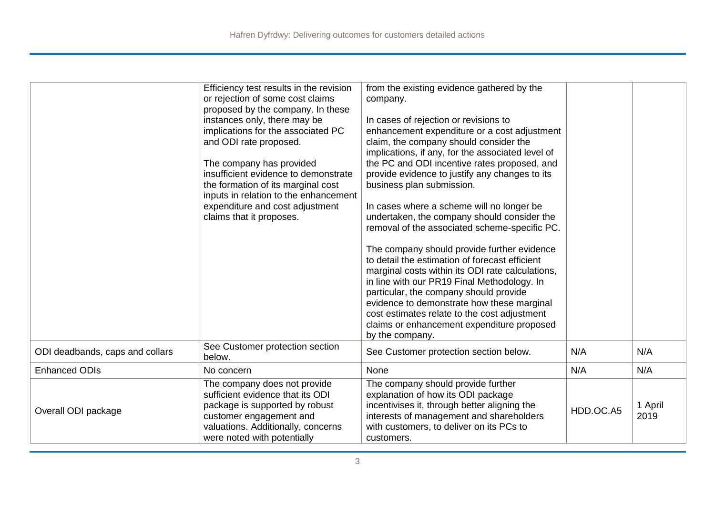|                                 | Efficiency test results in the revision<br>or rejection of some cost claims<br>proposed by the company. In these<br>instances only, there may be<br>implications for the associated PC<br>and ODI rate proposed.<br>The company has provided<br>insufficient evidence to demonstrate<br>the formation of its marginal cost<br>inputs in relation to the enhancement<br>expenditure and cost adjustment<br>claims that it proposes. | from the existing evidence gathered by the<br>company.<br>In cases of rejection or revisions to<br>enhancement expenditure or a cost adjustment<br>claim, the company should consider the<br>implications, if any, for the associated level of<br>the PC and ODI incentive rates proposed, and<br>provide evidence to justify any changes to its<br>business plan submission.<br>In cases where a scheme will no longer be<br>undertaken, the company should consider the<br>removal of the associated scheme-specific PC.<br>The company should provide further evidence<br>to detail the estimation of forecast efficient<br>marginal costs within its ODI rate calculations,<br>in line with our PR19 Final Methodology. In<br>particular, the company should provide<br>evidence to demonstrate how these marginal<br>cost estimates relate to the cost adjustment<br>claims or enhancement expenditure proposed<br>by the company. |           |                 |
|---------------------------------|------------------------------------------------------------------------------------------------------------------------------------------------------------------------------------------------------------------------------------------------------------------------------------------------------------------------------------------------------------------------------------------------------------------------------------|-----------------------------------------------------------------------------------------------------------------------------------------------------------------------------------------------------------------------------------------------------------------------------------------------------------------------------------------------------------------------------------------------------------------------------------------------------------------------------------------------------------------------------------------------------------------------------------------------------------------------------------------------------------------------------------------------------------------------------------------------------------------------------------------------------------------------------------------------------------------------------------------------------------------------------------------|-----------|-----------------|
| ODI deadbands, caps and collars | See Customer protection section<br>below.                                                                                                                                                                                                                                                                                                                                                                                          | See Customer protection section below.                                                                                                                                                                                                                                                                                                                                                                                                                                                                                                                                                                                                                                                                                                                                                                                                                                                                                                  | N/A       | N/A             |
| <b>Enhanced ODIs</b>            | No concern                                                                                                                                                                                                                                                                                                                                                                                                                         | None                                                                                                                                                                                                                                                                                                                                                                                                                                                                                                                                                                                                                                                                                                                                                                                                                                                                                                                                    | N/A       | N/A             |
| Overall ODI package             | The company does not provide<br>sufficient evidence that its ODI<br>package is supported by robust<br>customer engagement and<br>valuations. Additionally, concerns<br>were noted with potentially                                                                                                                                                                                                                                 | The company should provide further<br>explanation of how its ODI package<br>incentivises it, through better aligning the<br>interests of management and shareholders<br>with customers, to deliver on its PCs to<br>customers.                                                                                                                                                                                                                                                                                                                                                                                                                                                                                                                                                                                                                                                                                                          | HDD.OC.A5 | 1 April<br>2019 |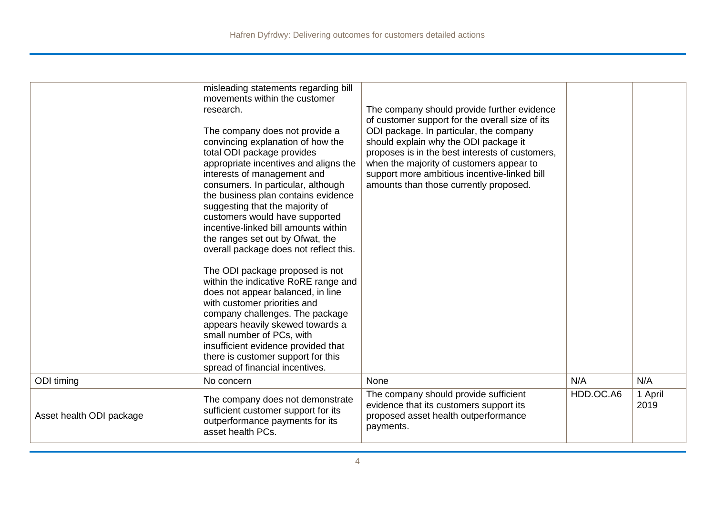|                          | misleading statements regarding bill<br>movements within the customer<br>research.<br>The company does not provide a<br>convincing explanation of how the<br>total ODI package provides<br>appropriate incentives and aligns the<br>interests of management and<br>consumers. In particular, although<br>the business plan contains evidence<br>suggesting that the majority of<br>customers would have supported<br>incentive-linked bill amounts within<br>the ranges set out by Ofwat, the<br>overall package does not reflect this.<br>The ODI package proposed is not<br>within the indicative RoRE range and<br>does not appear balanced, in line<br>with customer priorities and<br>company challenges. The package<br>appears heavily skewed towards a<br>small number of PCs, with<br>insufficient evidence provided that<br>there is customer support for this<br>spread of financial incentives. | The company should provide further evidence<br>of customer support for the overall size of its<br>ODI package. In particular, the company<br>should explain why the ODI package it<br>proposes is in the best interests of customers,<br>when the majority of customers appear to<br>support more ambitious incentive-linked bill<br>amounts than those currently proposed. |           |                 |
|--------------------------|-------------------------------------------------------------------------------------------------------------------------------------------------------------------------------------------------------------------------------------------------------------------------------------------------------------------------------------------------------------------------------------------------------------------------------------------------------------------------------------------------------------------------------------------------------------------------------------------------------------------------------------------------------------------------------------------------------------------------------------------------------------------------------------------------------------------------------------------------------------------------------------------------------------|-----------------------------------------------------------------------------------------------------------------------------------------------------------------------------------------------------------------------------------------------------------------------------------------------------------------------------------------------------------------------------|-----------|-----------------|
| ODI timing               | No concern                                                                                                                                                                                                                                                                                                                                                                                                                                                                                                                                                                                                                                                                                                                                                                                                                                                                                                  | None                                                                                                                                                                                                                                                                                                                                                                        | N/A       | N/A             |
| Asset health ODI package | The company does not demonstrate<br>sufficient customer support for its<br>outperformance payments for its<br>asset health PCs.                                                                                                                                                                                                                                                                                                                                                                                                                                                                                                                                                                                                                                                                                                                                                                             | The company should provide sufficient<br>evidence that its customers support its<br>proposed asset health outperformance<br>payments.                                                                                                                                                                                                                                       | HDD.OC.A6 | 1 April<br>2019 |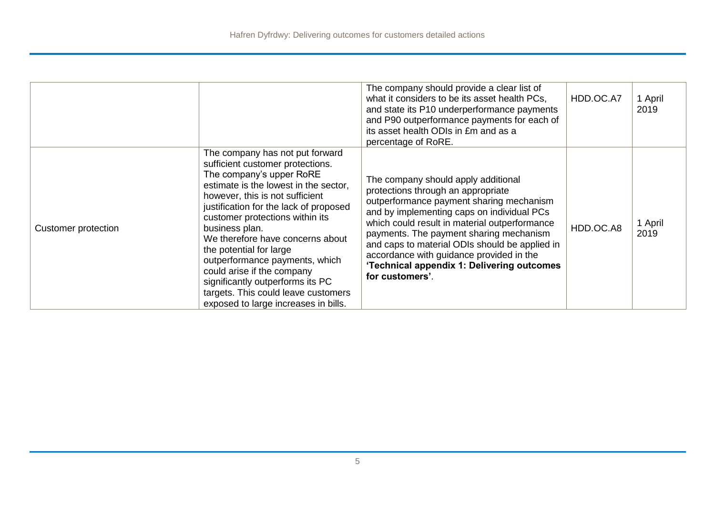|                     |                                                                                                                                                                                                                                                                                                                                                                                                                                                                                                                              | The company should provide a clear list of<br>what it considers to be its asset health PCs,<br>and state its P10 underperformance payments<br>and P90 outperformance payments for each of<br>its asset health ODIs in £m and as a<br>percentage of RoRE.                                                                                                                                                                       | HDD.OC.A7 | 1 April<br>2019 |
|---------------------|------------------------------------------------------------------------------------------------------------------------------------------------------------------------------------------------------------------------------------------------------------------------------------------------------------------------------------------------------------------------------------------------------------------------------------------------------------------------------------------------------------------------------|--------------------------------------------------------------------------------------------------------------------------------------------------------------------------------------------------------------------------------------------------------------------------------------------------------------------------------------------------------------------------------------------------------------------------------|-----------|-----------------|
| Customer protection | The company has not put forward<br>sufficient customer protections.<br>The company's upper RoRE<br>estimate is the lowest in the sector,<br>however, this is not sufficient<br>justification for the lack of proposed<br>customer protections within its<br>business plan.<br>We therefore have concerns about<br>the potential for large<br>outperformance payments, which<br>could arise if the company<br>significantly outperforms its PC<br>targets. This could leave customers<br>exposed to large increases in bills. | The company should apply additional<br>protections through an appropriate<br>outperformance payment sharing mechanism<br>and by implementing caps on individual PCs<br>which could result in material outperformance<br>payments. The payment sharing mechanism<br>and caps to material ODIs should be applied in<br>accordance with guidance provided in the<br>'Technical appendix 1: Delivering outcomes<br>for customers'. | HDD.OC.A8 | 1 April<br>2019 |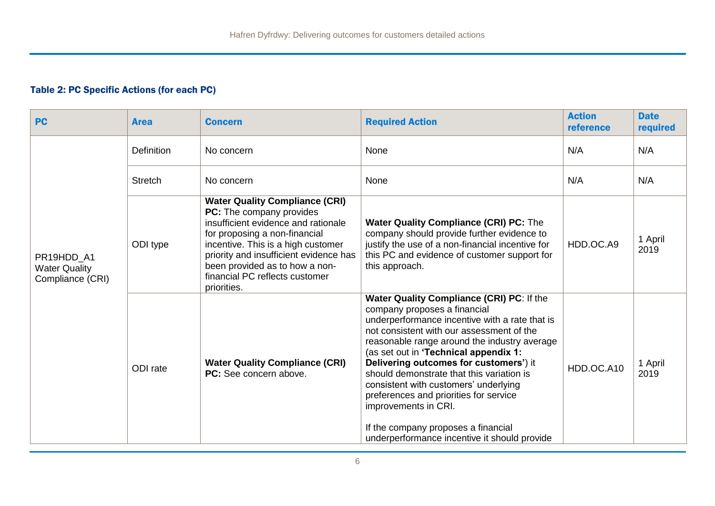## Table 2: PC Specific Actions (for each PC)

| <b>PC</b>                                              | <b>Area</b>       | <b>Concern</b>                                                                                                                                                                                                                                                                                               | <b>Required Action</b>                                                                                                                                                                                                                                                                                                                                                                                                                                                                                                                                     | <b>Action</b><br>reference | <b>Date</b><br>required |
|--------------------------------------------------------|-------------------|--------------------------------------------------------------------------------------------------------------------------------------------------------------------------------------------------------------------------------------------------------------------------------------------------------------|------------------------------------------------------------------------------------------------------------------------------------------------------------------------------------------------------------------------------------------------------------------------------------------------------------------------------------------------------------------------------------------------------------------------------------------------------------------------------------------------------------------------------------------------------------|----------------------------|-------------------------|
|                                                        | <b>Definition</b> | No concern                                                                                                                                                                                                                                                                                                   | None                                                                                                                                                                                                                                                                                                                                                                                                                                                                                                                                                       | N/A                        | N/A                     |
|                                                        | <b>Stretch</b>    | No concern                                                                                                                                                                                                                                                                                                   | None                                                                                                                                                                                                                                                                                                                                                                                                                                                                                                                                                       | N/A                        | N/A                     |
| PR19HDD_A1<br><b>Water Quality</b><br>Compliance (CRI) | ODI type          | <b>Water Quality Compliance (CRI)</b><br>PC: The company provides<br>insufficient evidence and rationale<br>for proposing a non-financial<br>incentive. This is a high customer<br>priority and insufficient evidence has<br>been provided as to how a non-<br>financial PC reflects customer<br>priorities. | <b>Water Quality Compliance (CRI) PC: The</b><br>company should provide further evidence to<br>justify the use of a non-financial incentive for<br>this PC and evidence of customer support for<br>this approach.                                                                                                                                                                                                                                                                                                                                          | HDD.OC.A9                  | 1 April<br>2019         |
|                                                        | ODI rate          | <b>Water Quality Compliance (CRI)</b><br>PC: See concern above.                                                                                                                                                                                                                                              | Water Quality Compliance (CRI) PC: If the<br>company proposes a financial<br>underperformance incentive with a rate that is<br>not consistent with our assessment of the<br>reasonable range around the industry average<br>(as set out in 'Technical appendix 1:<br>Delivering outcomes for customers') it<br>should demonstrate that this variation is<br>consistent with customers' underlying<br>preferences and priorities for service<br>improvements in CRI.<br>If the company proposes a financial<br>underperformance incentive it should provide | HDD.OC.A10                 | 1 April<br>2019         |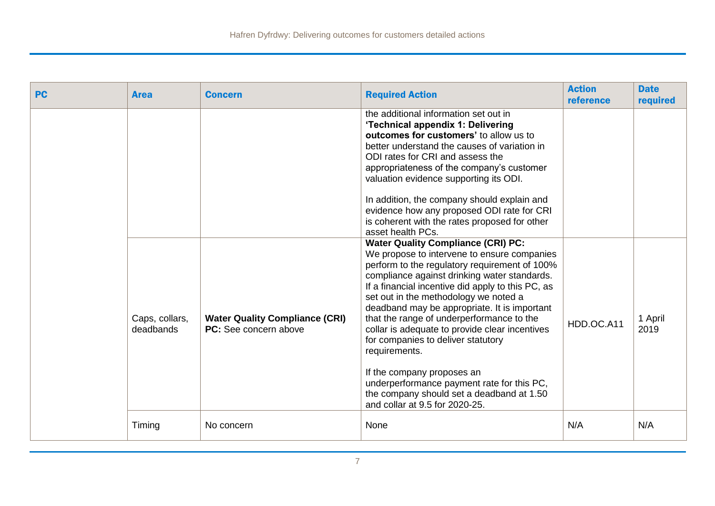| <b>PC</b> | <b>Area</b>                 | <b>Concern</b>                                                        | <b>Required Action</b>                                                                                                                                                                                                                                                                                                                                                                                                                                                                                                                                                                                                                                   | <b>Action</b><br>reference | <b>Date</b><br>required |
|-----------|-----------------------------|-----------------------------------------------------------------------|----------------------------------------------------------------------------------------------------------------------------------------------------------------------------------------------------------------------------------------------------------------------------------------------------------------------------------------------------------------------------------------------------------------------------------------------------------------------------------------------------------------------------------------------------------------------------------------------------------------------------------------------------------|----------------------------|-------------------------|
|           |                             |                                                                       | the additional information set out in<br>'Technical appendix 1: Delivering<br>outcomes for customers' to allow us to<br>better understand the causes of variation in<br>ODI rates for CRI and assess the<br>appropriateness of the company's customer<br>valuation evidence supporting its ODI.<br>In addition, the company should explain and<br>evidence how any proposed ODI rate for CRI<br>is coherent with the rates proposed for other<br>asset health PCs.                                                                                                                                                                                       |                            |                         |
|           | Caps, collars,<br>deadbands | <b>Water Quality Compliance (CRI)</b><br><b>PC:</b> See concern above | <b>Water Quality Compliance (CRI) PC:</b><br>We propose to intervene to ensure companies<br>perform to the regulatory requirement of 100%<br>compliance against drinking water standards.<br>If a financial incentive did apply to this PC, as<br>set out in the methodology we noted a<br>deadband may be appropriate. It is important<br>that the range of underperformance to the<br>collar is adequate to provide clear incentives<br>for companies to deliver statutory<br>requirements.<br>If the company proposes an<br>underperformance payment rate for this PC,<br>the company should set a deadband at 1.50<br>and collar at 9.5 for 2020-25. | HDD.OC.A11                 | 1 April<br>2019         |
|           | Timing                      | No concern                                                            | None                                                                                                                                                                                                                                                                                                                                                                                                                                                                                                                                                                                                                                                     | N/A                        | N/A                     |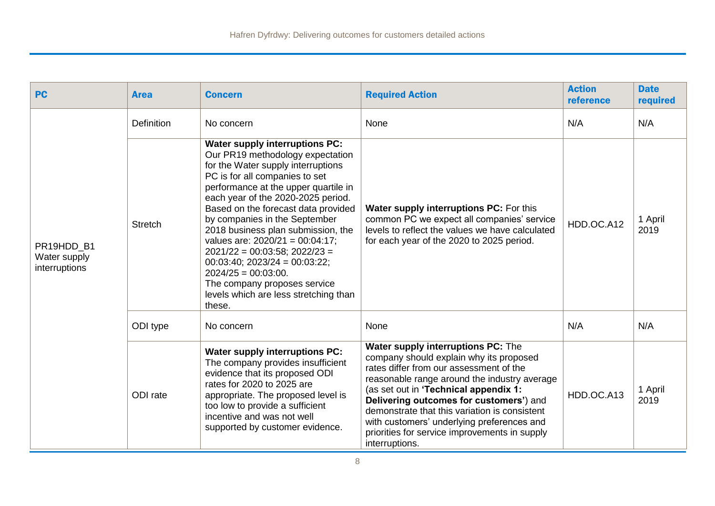| <b>PC</b>                                   | <b>Area</b>    | <b>Concern</b>                                                                                                                                                                                                                                                                                                                                                                                                                                                                                                                                                               | <b>Required Action</b>                                                                                                                                                                                                                                                                                                                                                                                                         | <b>Action</b><br>reference | <b>Date</b><br>required |
|---------------------------------------------|----------------|------------------------------------------------------------------------------------------------------------------------------------------------------------------------------------------------------------------------------------------------------------------------------------------------------------------------------------------------------------------------------------------------------------------------------------------------------------------------------------------------------------------------------------------------------------------------------|--------------------------------------------------------------------------------------------------------------------------------------------------------------------------------------------------------------------------------------------------------------------------------------------------------------------------------------------------------------------------------------------------------------------------------|----------------------------|-------------------------|
| PR19HDD B1<br>Water supply<br>interruptions | Definition     | No concern                                                                                                                                                                                                                                                                                                                                                                                                                                                                                                                                                                   | None                                                                                                                                                                                                                                                                                                                                                                                                                           | N/A                        | N/A                     |
|                                             | <b>Stretch</b> | <b>Water supply interruptions PC:</b><br>Our PR19 methodology expectation<br>for the Water supply interruptions<br>PC is for all companies to set<br>performance at the upper quartile in<br>each year of the 2020-2025 period.<br>Based on the forecast data provided<br>by companies in the September<br>2018 business plan submission, the<br>values are: $2020/21 = 00:04:17$ ;<br>$2021/22 = 00:03:58$ ; $2022/23 =$<br>$00:03:40$ ; $2023/24 = 00:03:22$ ;<br>$2024/25 = 00:03:00.$<br>The company proposes service<br>levels which are less stretching than<br>these. | Water supply interruptions PC: For this<br>common PC we expect all companies' service<br>levels to reflect the values we have calculated<br>for each year of the 2020 to 2025 period.                                                                                                                                                                                                                                          | HDD.OC.A12                 | 1 April<br>2019         |
|                                             | ODI type       | No concern                                                                                                                                                                                                                                                                                                                                                                                                                                                                                                                                                                   | None                                                                                                                                                                                                                                                                                                                                                                                                                           | N/A                        | N/A                     |
|                                             | ODI rate       | <b>Water supply interruptions PC:</b><br>The company provides insufficient<br>evidence that its proposed ODI<br>rates for 2020 to 2025 are<br>appropriate. The proposed level is<br>too low to provide a sufficient<br>incentive and was not well<br>supported by customer evidence.                                                                                                                                                                                                                                                                                         | Water supply interruptions PC: The<br>company should explain why its proposed<br>rates differ from our assessment of the<br>reasonable range around the industry average<br>(as set out in 'Technical appendix 1:<br>Delivering outcomes for customers') and<br>demonstrate that this variation is consistent<br>with customers' underlying preferences and<br>priorities for service improvements in supply<br>interruptions. | HDD.OC.A13                 | 1 April<br>2019         |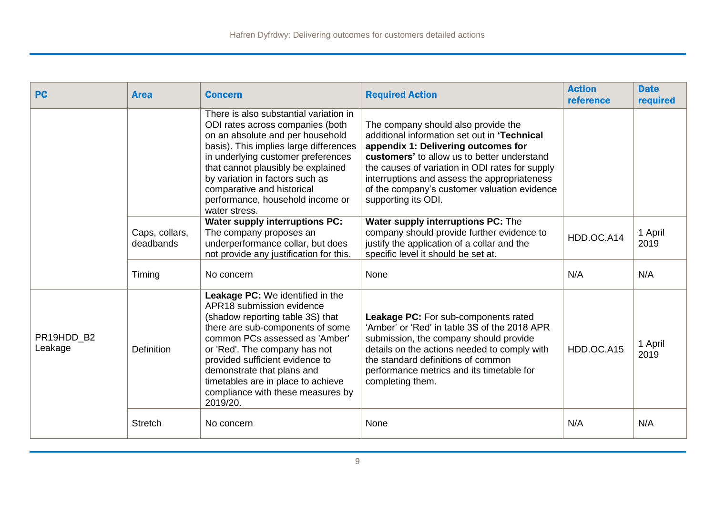| <b>PC</b>             | <b>Area</b>                 | <b>Concern</b>                                                                                                                                                                                                                                                                                                                                                          | <b>Required Action</b>                                                                                                                                                                                                                                                                                                                              | <b>Action</b><br>reference | <b>Date</b><br>required |
|-----------------------|-----------------------------|-------------------------------------------------------------------------------------------------------------------------------------------------------------------------------------------------------------------------------------------------------------------------------------------------------------------------------------------------------------------------|-----------------------------------------------------------------------------------------------------------------------------------------------------------------------------------------------------------------------------------------------------------------------------------------------------------------------------------------------------|----------------------------|-------------------------|
|                       |                             | There is also substantial variation in<br>ODI rates across companies (both<br>on an absolute and per household<br>basis). This implies large differences<br>in underlying customer preferences<br>that cannot plausibly be explained<br>by variation in factors such as<br>comparative and historical<br>performance, household income or<br>water stress.              | The company should also provide the<br>additional information set out in 'Technical<br>appendix 1: Delivering outcomes for<br>customers' to allow us to better understand<br>the causes of variation in ODI rates for supply<br>interruptions and assess the appropriateness<br>of the company's customer valuation evidence<br>supporting its ODI. |                            |                         |
|                       | Caps, collars,<br>deadbands | <b>Water supply interruptions PC:</b><br>The company proposes an<br>underperformance collar, but does<br>not provide any justification for this.                                                                                                                                                                                                                        | Water supply interruptions PC: The<br>company should provide further evidence to<br>justify the application of a collar and the<br>specific level it should be set at.                                                                                                                                                                              | HDD.OC.A14                 | 1 April<br>2019         |
|                       | Timing                      | No concern                                                                                                                                                                                                                                                                                                                                                              | None                                                                                                                                                                                                                                                                                                                                                | N/A                        | N/A                     |
| PR19HDD B2<br>Leakage | <b>Definition</b>           | <b>Leakage PC:</b> We identified in the<br>APR18 submission evidence<br>(shadow reporting table 3S) that<br>there are sub-components of some<br>common PCs assessed as 'Amber'<br>or 'Red'. The company has not<br>provided sufficient evidence to<br>demonstrate that plans and<br>timetables are in place to achieve<br>compliance with these measures by<br>2019/20. | Leakage PC: For sub-components rated<br>'Amber' or 'Red' in table 3S of the 2018 APR<br>submission, the company should provide<br>details on the actions needed to comply with<br>the standard definitions of common<br>performance metrics and its timetable for<br>completing them.                                                               | HDD.OC.A15                 | 1 April<br>2019         |
|                       | <b>Stretch</b>              | No concern                                                                                                                                                                                                                                                                                                                                                              | None                                                                                                                                                                                                                                                                                                                                                | N/A                        | N/A                     |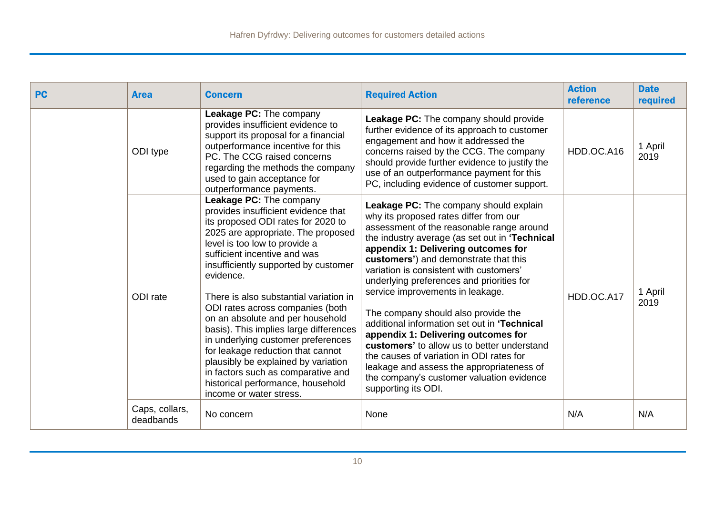| <b>PC</b> | <b>Area</b>                 | <b>Concern</b>                                                                                                                                                                                                                                                                                                                                                                                                                                                                                                                                                                                                                                       | <b>Required Action</b>                                                                                                                                                                                                                                                                                                                                                                                                                                                                                                                                                                                                                                                                                                                | <b>Action</b><br>reference | <b>Date</b><br>required |
|-----------|-----------------------------|------------------------------------------------------------------------------------------------------------------------------------------------------------------------------------------------------------------------------------------------------------------------------------------------------------------------------------------------------------------------------------------------------------------------------------------------------------------------------------------------------------------------------------------------------------------------------------------------------------------------------------------------------|---------------------------------------------------------------------------------------------------------------------------------------------------------------------------------------------------------------------------------------------------------------------------------------------------------------------------------------------------------------------------------------------------------------------------------------------------------------------------------------------------------------------------------------------------------------------------------------------------------------------------------------------------------------------------------------------------------------------------------------|----------------------------|-------------------------|
|           | ODI type                    | Leakage PC: The company<br>provides insufficient evidence to<br>support its proposal for a financial<br>outperformance incentive for this<br>PC. The CCG raised concerns<br>regarding the methods the company<br>used to gain acceptance for<br>outperformance payments.                                                                                                                                                                                                                                                                                                                                                                             | Leakage PC: The company should provide<br>further evidence of its approach to customer<br>engagement and how it addressed the<br>concerns raised by the CCG. The company<br>should provide further evidence to justify the<br>use of an outperformance payment for this<br>PC, including evidence of customer support.                                                                                                                                                                                                                                                                                                                                                                                                                | HDD.OC.A16                 | 1 April<br>2019         |
|           | ODI rate                    | Leakage PC: The company<br>provides insufficient evidence that<br>its proposed ODI rates for 2020 to<br>2025 are appropriate. The proposed<br>level is too low to provide a<br>sufficient incentive and was<br>insufficiently supported by customer<br>evidence.<br>There is also substantial variation in<br>ODI rates across companies (both<br>on an absolute and per household<br>basis). This implies large differences<br>in underlying customer preferences<br>for leakage reduction that cannot<br>plausibly be explained by variation<br>in factors such as comparative and<br>historical performance, household<br>income or water stress. | Leakage PC: The company should explain<br>why its proposed rates differ from our<br>assessment of the reasonable range around<br>the industry average (as set out in 'Technical<br>appendix 1: Delivering outcomes for<br>customers') and demonstrate that this<br>variation is consistent with customers'<br>underlying preferences and priorities for<br>service improvements in leakage.<br>The company should also provide the<br>additional information set out in 'Technical<br>appendix 1: Delivering outcomes for<br>customers' to allow us to better understand<br>the causes of variation in ODI rates for<br>leakage and assess the appropriateness of<br>the company's customer valuation evidence<br>supporting its ODI. | HDD.OC.A17                 | 1 April<br>2019         |
|           | Caps, collars,<br>deadbands | No concern                                                                                                                                                                                                                                                                                                                                                                                                                                                                                                                                                                                                                                           | None                                                                                                                                                                                                                                                                                                                                                                                                                                                                                                                                                                                                                                                                                                                                  | N/A                        | N/A                     |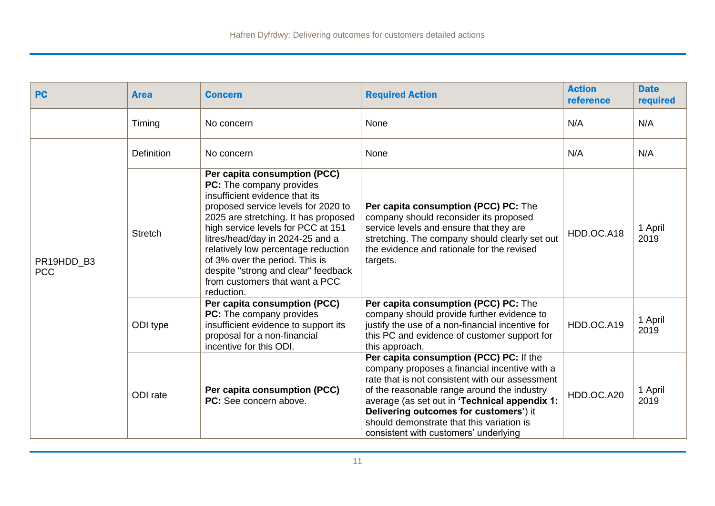| <b>PC</b>                | <b>Area</b>       | <b>Concern</b>                                                                                                                                                                                                                                                                                                                                                                                                      | <b>Required Action</b>                                                                                                                                                                                                                                                                                                                                                      | <b>Action</b><br>reference | <b>Date</b><br>required |
|--------------------------|-------------------|---------------------------------------------------------------------------------------------------------------------------------------------------------------------------------------------------------------------------------------------------------------------------------------------------------------------------------------------------------------------------------------------------------------------|-----------------------------------------------------------------------------------------------------------------------------------------------------------------------------------------------------------------------------------------------------------------------------------------------------------------------------------------------------------------------------|----------------------------|-------------------------|
|                          | Timing            | No concern                                                                                                                                                                                                                                                                                                                                                                                                          | None                                                                                                                                                                                                                                                                                                                                                                        | N/A                        | N/A                     |
|                          | <b>Definition</b> | No concern                                                                                                                                                                                                                                                                                                                                                                                                          | None                                                                                                                                                                                                                                                                                                                                                                        | N/A                        | N/A                     |
| PR19HDD_B3<br><b>PCC</b> | <b>Stretch</b>    | Per capita consumption (PCC)<br>PC: The company provides<br>insufficient evidence that its<br>proposed service levels for 2020 to<br>2025 are stretching. It has proposed<br>high service levels for PCC at 151<br>litres/head/day in 2024-25 and a<br>relatively low percentage reduction<br>of 3% over the period. This is<br>despite "strong and clear" feedback<br>from customers that want a PCC<br>reduction. | Per capita consumption (PCC) PC: The<br>company should reconsider its proposed<br>service levels and ensure that they are<br>stretching. The company should clearly set out<br>the evidence and rationale for the revised<br>targets.                                                                                                                                       | HDD.OC.A18                 | 1 April<br>2019         |
|                          | ODI type          | Per capita consumption (PCC)<br>PC: The company provides<br>insufficient evidence to support its<br>proposal for a non-financial<br>incentive for this ODI.                                                                                                                                                                                                                                                         | Per capita consumption (PCC) PC: The<br>company should provide further evidence to<br>justify the use of a non-financial incentive for<br>this PC and evidence of customer support for<br>this approach.                                                                                                                                                                    | HDD.OC.A19                 | 1 April<br>2019         |
|                          | ODI rate          | Per capita consumption (PCC)<br>PC: See concern above.                                                                                                                                                                                                                                                                                                                                                              | Per capita consumption (PCC) PC: If the<br>company proposes a financial incentive with a<br>rate that is not consistent with our assessment<br>of the reasonable range around the industry<br>average (as set out in 'Technical appendix 1:<br>Delivering outcomes for customers') it<br>should demonstrate that this variation is<br>consistent with customers' underlying | HDD.OC.A20                 | 1 April<br>2019         |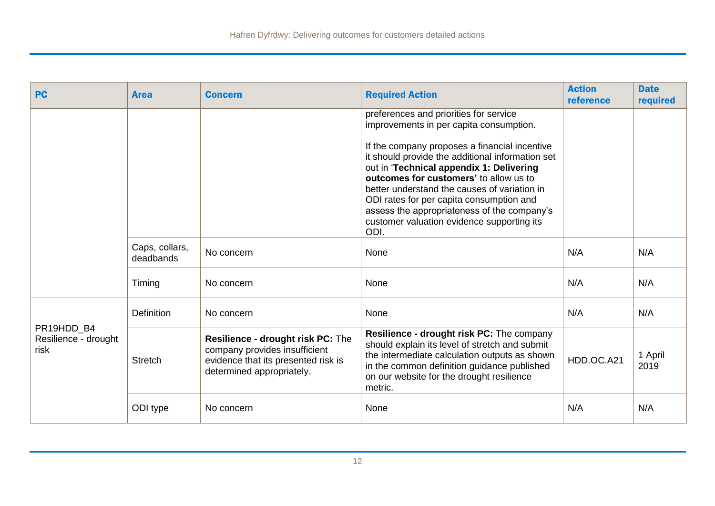| <b>PC</b>                                  | <b>Area</b>                 | <b>Concern</b>                                                                                                                         | <b>Required Action</b>                                                                                                                                                                                                                                                                                                                                                                                                                                                        | <b>Action</b><br>reference | <b>Date</b><br>required |
|--------------------------------------------|-----------------------------|----------------------------------------------------------------------------------------------------------------------------------------|-------------------------------------------------------------------------------------------------------------------------------------------------------------------------------------------------------------------------------------------------------------------------------------------------------------------------------------------------------------------------------------------------------------------------------------------------------------------------------|----------------------------|-------------------------|
|                                            |                             |                                                                                                                                        | preferences and priorities for service<br>improvements in per capita consumption.<br>If the company proposes a financial incentive<br>it should provide the additional information set<br>out in 'Technical appendix 1: Delivering<br>outcomes for customers' to allow us to<br>better understand the causes of variation in<br>ODI rates for per capita consumption and<br>assess the appropriateness of the company's<br>customer valuation evidence supporting its<br>ODI. |                            |                         |
|                                            | Caps, collars,<br>deadbands | No concern                                                                                                                             | None                                                                                                                                                                                                                                                                                                                                                                                                                                                                          | N/A                        | N/A                     |
|                                            | Timing                      | No concern                                                                                                                             | None                                                                                                                                                                                                                                                                                                                                                                                                                                                                          | N/A                        | N/A                     |
|                                            | <b>Definition</b>           | No concern                                                                                                                             | None                                                                                                                                                                                                                                                                                                                                                                                                                                                                          | N/A                        | N/A                     |
| PR19HDD_B4<br>Resilience - drought<br>risk | <b>Stretch</b>              | Resilience - drought risk PC: The<br>company provides insufficient<br>evidence that its presented risk is<br>determined appropriately. | Resilience - drought risk PC: The company<br>should explain its level of stretch and submit<br>the intermediate calculation outputs as shown<br>in the common definition guidance published<br>on our website for the drought resilience<br>metric.                                                                                                                                                                                                                           | HDD.OC.A21                 | 1 April<br>2019         |
|                                            | ODI type                    | No concern                                                                                                                             | None                                                                                                                                                                                                                                                                                                                                                                                                                                                                          | N/A                        | N/A                     |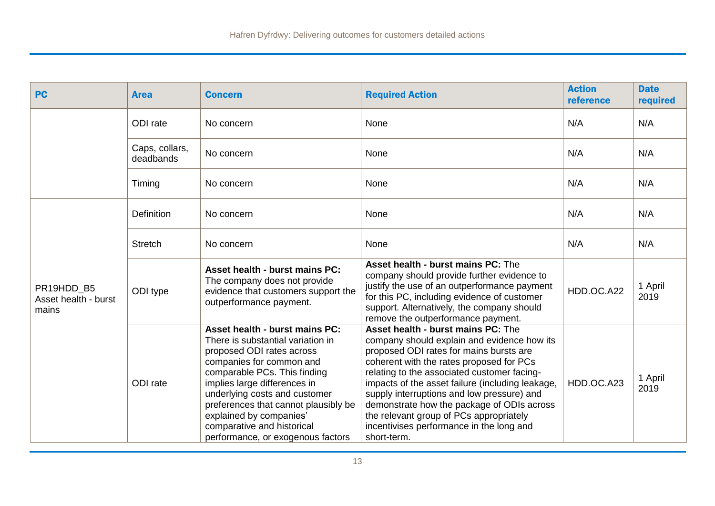| <b>PC</b>                                   | <b>Area</b>                 | <b>Concern</b>                                                                                                                                                                                                                                                                                                                                                             | <b>Required Action</b>                                                                                                                                                                                                                                                                                                                                                                                                                                                        | <b>Action</b><br>reference | <b>Date</b><br>required |
|---------------------------------------------|-----------------------------|----------------------------------------------------------------------------------------------------------------------------------------------------------------------------------------------------------------------------------------------------------------------------------------------------------------------------------------------------------------------------|-------------------------------------------------------------------------------------------------------------------------------------------------------------------------------------------------------------------------------------------------------------------------------------------------------------------------------------------------------------------------------------------------------------------------------------------------------------------------------|----------------------------|-------------------------|
|                                             | ODI rate                    | No concern                                                                                                                                                                                                                                                                                                                                                                 | None                                                                                                                                                                                                                                                                                                                                                                                                                                                                          | N/A                        | N/A                     |
|                                             | Caps, collars,<br>deadbands | No concern                                                                                                                                                                                                                                                                                                                                                                 | None                                                                                                                                                                                                                                                                                                                                                                                                                                                                          | N/A                        | N/A                     |
|                                             | Timing                      | No concern                                                                                                                                                                                                                                                                                                                                                                 | None                                                                                                                                                                                                                                                                                                                                                                                                                                                                          | N/A                        | N/A                     |
|                                             | <b>Definition</b>           | No concern                                                                                                                                                                                                                                                                                                                                                                 | None                                                                                                                                                                                                                                                                                                                                                                                                                                                                          | N/A                        | N/A                     |
|                                             | <b>Stretch</b>              | No concern                                                                                                                                                                                                                                                                                                                                                                 | None                                                                                                                                                                                                                                                                                                                                                                                                                                                                          | N/A                        | N/A                     |
| PR19HDD B5<br>Asset health - burst<br>mains | ODI type                    | Asset health - burst mains PC:<br>The company does not provide<br>evidence that customers support the<br>outperformance payment.                                                                                                                                                                                                                                           | <b>Asset health - burst mains PC: The</b><br>company should provide further evidence to<br>justify the use of an outperformance payment<br>for this PC, including evidence of customer<br>support. Alternatively, the company should<br>remove the outperformance payment.                                                                                                                                                                                                    | HDD.OC.A22                 | 1 April<br>2019         |
|                                             | ODI rate                    | <b>Asset health - burst mains PC:</b><br>There is substantial variation in<br>proposed ODI rates across<br>companies for common and<br>comparable PCs. This finding<br>implies large differences in<br>underlying costs and customer<br>preferences that cannot plausibly be<br>explained by companies'<br>comparative and historical<br>performance, or exogenous factors | Asset health - burst mains PC: The<br>company should explain and evidence how its<br>proposed ODI rates for mains bursts are<br>coherent with the rates proposed for PCs<br>relating to the associated customer facing-<br>impacts of the asset failure (including leakage,<br>supply interruptions and low pressure) and<br>demonstrate how the package of ODIs across<br>the relevant group of PCs appropriately<br>incentivises performance in the long and<br>short-term. | HDD.OC.A23                 | 1 April<br>2019         |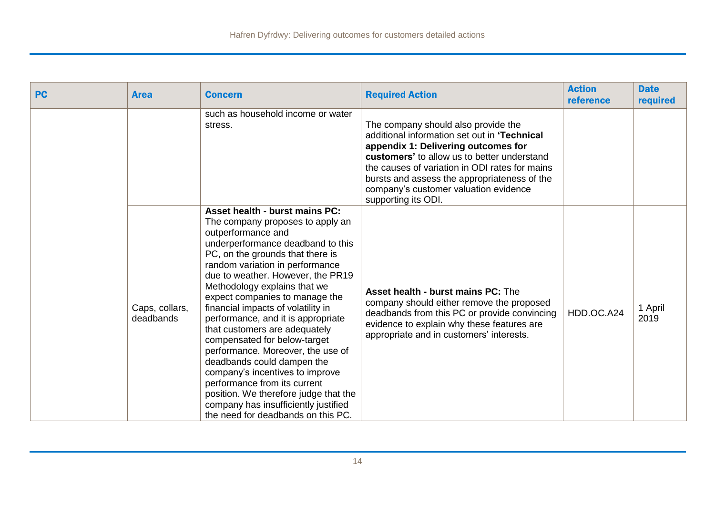| <b>PC</b> | <b>Area</b>                 | <b>Concern</b>                                                                                                                                                                                                                                                                                                                                                                                                                                                                                                                                                                                                                                                                                                        | <b>Required Action</b>                                                                                                                                                                                                                                                                                                                      | <b>Action</b><br>reference | <b>Date</b><br>required |
|-----------|-----------------------------|-----------------------------------------------------------------------------------------------------------------------------------------------------------------------------------------------------------------------------------------------------------------------------------------------------------------------------------------------------------------------------------------------------------------------------------------------------------------------------------------------------------------------------------------------------------------------------------------------------------------------------------------------------------------------------------------------------------------------|---------------------------------------------------------------------------------------------------------------------------------------------------------------------------------------------------------------------------------------------------------------------------------------------------------------------------------------------|----------------------------|-------------------------|
|           |                             | such as household income or water<br>stress.                                                                                                                                                                                                                                                                                                                                                                                                                                                                                                                                                                                                                                                                          | The company should also provide the<br>additional information set out in 'Technical<br>appendix 1: Delivering outcomes for<br>customers' to allow us to better understand<br>the causes of variation in ODI rates for mains<br>bursts and assess the appropriateness of the<br>company's customer valuation evidence<br>supporting its ODI. |                            |                         |
|           | Caps, collars,<br>deadbands | Asset health - burst mains PC:<br>The company proposes to apply an<br>outperformance and<br>underperformance deadband to this<br>PC, on the grounds that there is<br>random variation in performance<br>due to weather. However, the PR19<br>Methodology explains that we<br>expect companies to manage the<br>financial impacts of volatility in<br>performance, and it is appropriate<br>that customers are adequately<br>compensated for below-target<br>performance. Moreover, the use of<br>deadbands could dampen the<br>company's incentives to improve<br>performance from its current<br>position. We therefore judge that the<br>company has insufficiently justified<br>the need for deadbands on this PC. | <b>Asset health - burst mains PC: The</b><br>company should either remove the proposed<br>deadbands from this PC or provide convincing<br>evidence to explain why these features are<br>appropriate and in customers' interests.                                                                                                            | HDD.OC.A24                 | 1 April<br>2019         |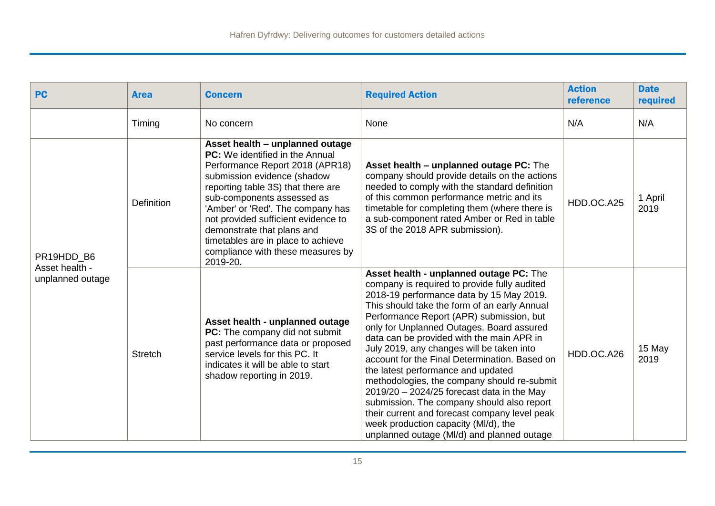| <b>PC</b>                                        | <b>Area</b>    | <b>Concern</b>                                                                                                                                                                                                                                                                                                                                                                                                   | <b>Required Action</b>                                                                                                                                                                                                                                                                                                                                                                                                                                                                                                                                                                                                                                                                                                                            | <b>Action</b><br>reference | <b>Date</b><br>required |
|--------------------------------------------------|----------------|------------------------------------------------------------------------------------------------------------------------------------------------------------------------------------------------------------------------------------------------------------------------------------------------------------------------------------------------------------------------------------------------------------------|---------------------------------------------------------------------------------------------------------------------------------------------------------------------------------------------------------------------------------------------------------------------------------------------------------------------------------------------------------------------------------------------------------------------------------------------------------------------------------------------------------------------------------------------------------------------------------------------------------------------------------------------------------------------------------------------------------------------------------------------------|----------------------------|-------------------------|
|                                                  | Timing         | No concern                                                                                                                                                                                                                                                                                                                                                                                                       | None                                                                                                                                                                                                                                                                                                                                                                                                                                                                                                                                                                                                                                                                                                                                              | N/A                        | N/A                     |
| PR19HDD B6<br>Asset health -<br>unplanned outage | Definition     | Asset health - unplanned outage<br><b>PC:</b> We identified in the Annual<br>Performance Report 2018 (APR18)<br>submission evidence (shadow<br>reporting table 3S) that there are<br>sub-components assessed as<br>'Amber' or 'Red'. The company has<br>not provided sufficient evidence to<br>demonstrate that plans and<br>timetables are in place to achieve<br>compliance with these measures by<br>2019-20. | Asset health - unplanned outage PC: The<br>company should provide details on the actions<br>needed to comply with the standard definition<br>of this common performance metric and its<br>timetable for completing them (where there is<br>a sub-component rated Amber or Red in table<br>3S of the 2018 APR submission).                                                                                                                                                                                                                                                                                                                                                                                                                         | HDD.OC.A25                 | 1 April<br>2019         |
|                                                  | <b>Stretch</b> | Asset health - unplanned outage<br>PC: The company did not submit<br>past performance data or proposed<br>service levels for this PC. It<br>indicates it will be able to start<br>shadow reporting in 2019.                                                                                                                                                                                                      | Asset health - unplanned outage PC: The<br>company is required to provide fully audited<br>2018-19 performance data by 15 May 2019.<br>This should take the form of an early Annual<br>Performance Report (APR) submission, but<br>only for Unplanned Outages. Board assured<br>data can be provided with the main APR in<br>July 2019, any changes will be taken into<br>account for the Final Determination. Based on<br>the latest performance and updated<br>methodologies, the company should re-submit<br>$2019/20 - 2024/25$ forecast data in the May<br>submission. The company should also report<br>their current and forecast company level peak<br>week production capacity (MI/d), the<br>unplanned outage (MI/d) and planned outage | HDD.OC.A26                 | 15 May<br>2019          |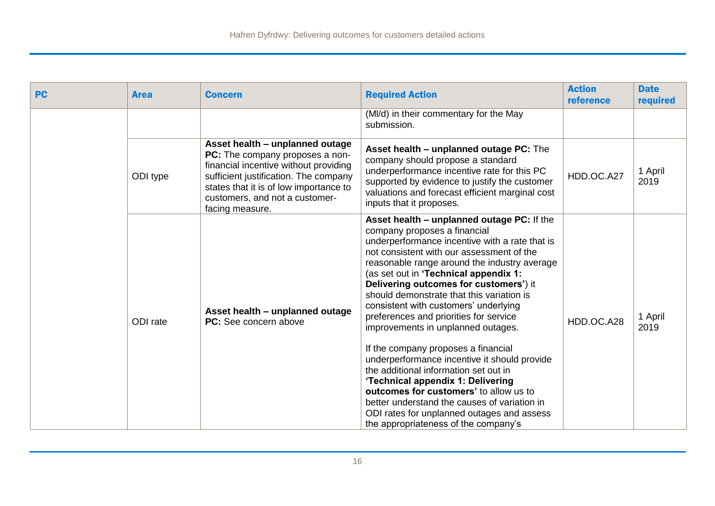| <b>PC</b> | <b>Area</b> | <b>Concern</b>                                                                                                                                                                                                                                             | <b>Required Action</b>                                                                                                                                                                                                                                                                                                                                                                                                                                                                                                                                                                                                                                                                                                                                                                                                                  | <b>Action</b><br>reference | <b>Date</b><br>required |
|-----------|-------------|------------------------------------------------------------------------------------------------------------------------------------------------------------------------------------------------------------------------------------------------------------|-----------------------------------------------------------------------------------------------------------------------------------------------------------------------------------------------------------------------------------------------------------------------------------------------------------------------------------------------------------------------------------------------------------------------------------------------------------------------------------------------------------------------------------------------------------------------------------------------------------------------------------------------------------------------------------------------------------------------------------------------------------------------------------------------------------------------------------------|----------------------------|-------------------------|
|           |             |                                                                                                                                                                                                                                                            | (MI/d) in their commentary for the May<br>submission.                                                                                                                                                                                                                                                                                                                                                                                                                                                                                                                                                                                                                                                                                                                                                                                   |                            |                         |
|           | ODI type    | Asset health - unplanned outage<br><b>PC:</b> The company proposes a non-<br>financial incentive without providing<br>sufficient justification. The company<br>states that it is of low importance to<br>customers, and not a customer-<br>facing measure. | Asset health - unplanned outage PC: The<br>company should propose a standard<br>underperformance incentive rate for this PC<br>supported by evidence to justify the customer<br>valuations and forecast efficient marginal cost<br>inputs that it proposes.                                                                                                                                                                                                                                                                                                                                                                                                                                                                                                                                                                             | HDD.OC.A27                 | 1 April<br>2019         |
|           | ODI rate    | Asset health – unplanned outage<br><b>PC:</b> See concern above                                                                                                                                                                                            | Asset health - unplanned outage PC: If the<br>company proposes a financial<br>underperformance incentive with a rate that is<br>not consistent with our assessment of the<br>reasonable range around the industry average<br>(as set out in 'Technical appendix 1:<br>Delivering outcomes for customers') it<br>should demonstrate that this variation is<br>consistent with customers' underlying<br>preferences and priorities for service<br>improvements in unplanned outages.<br>If the company proposes a financial<br>underperformance incentive it should provide<br>the additional information set out in<br>'Technical appendix 1: Delivering<br>outcomes for customers' to allow us to<br>better understand the causes of variation in<br>ODI rates for unplanned outages and assess<br>the appropriateness of the company's | HDD.OC.A28                 | 1 April<br>2019         |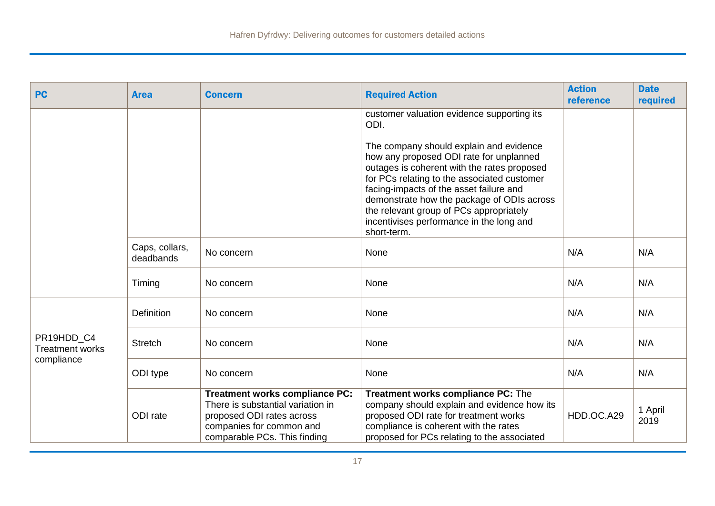| <b>PC</b>                                          | <b>Area</b>                 | <b>Concern</b>                                                                                                                                                      | <b>Required Action</b>                                                                                                                                                                                                                                                            | <b>Action</b><br>reference | <b>Date</b><br>required |
|----------------------------------------------------|-----------------------------|---------------------------------------------------------------------------------------------------------------------------------------------------------------------|-----------------------------------------------------------------------------------------------------------------------------------------------------------------------------------------------------------------------------------------------------------------------------------|----------------------------|-------------------------|
|                                                    |                             |                                                                                                                                                                     | customer valuation evidence supporting its<br>ODI.<br>The company should explain and evidence<br>how any proposed ODI rate for unplanned<br>outages is coherent with the rates proposed<br>for PCs relating to the associated customer<br>facing-impacts of the asset failure and |                            |                         |
|                                                    |                             |                                                                                                                                                                     | demonstrate how the package of ODIs across<br>the relevant group of PCs appropriately<br>incentivises performance in the long and<br>short-term.                                                                                                                                  |                            |                         |
|                                                    | Caps, collars,<br>deadbands | No concern                                                                                                                                                          | None                                                                                                                                                                                                                                                                              | N/A                        | N/A                     |
|                                                    | Timing                      | No concern                                                                                                                                                          | None                                                                                                                                                                                                                                                                              | N/A                        | N/A                     |
|                                                    | <b>Definition</b>           | No concern                                                                                                                                                          | None                                                                                                                                                                                                                                                                              | N/A                        | N/A                     |
| PR19HDD C4<br><b>Treatment works</b><br>compliance | <b>Stretch</b>              | No concern                                                                                                                                                          | None                                                                                                                                                                                                                                                                              | N/A                        | N/A                     |
|                                                    | ODI type                    | No concern                                                                                                                                                          | None                                                                                                                                                                                                                                                                              | N/A                        | N/A                     |
|                                                    | ODI rate                    | <b>Treatment works compliance PC:</b><br>There is substantial variation in<br>proposed ODI rates across<br>companies for common and<br>comparable PCs. This finding | Treatment works compliance PC: The<br>company should explain and evidence how its<br>proposed ODI rate for treatment works<br>compliance is coherent with the rates<br>proposed for PCs relating to the associated                                                                | HDD.OC.A29                 | 1 April<br>2019         |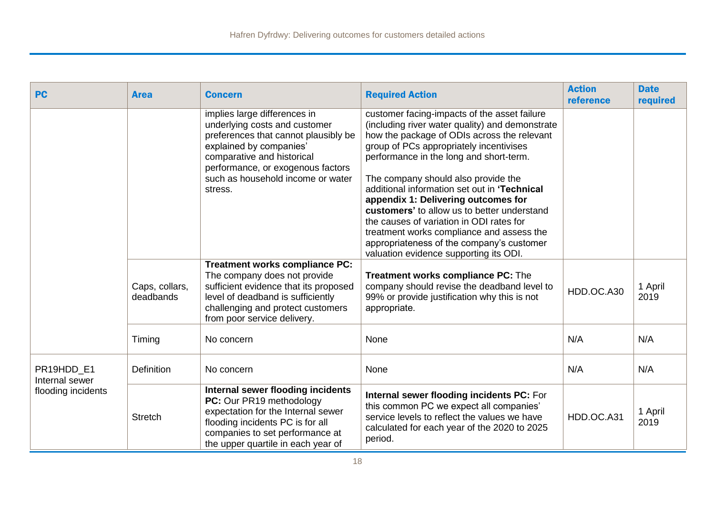| <b>PC</b>                                          | <b>Area</b>                 | <b>Concern</b>                                                                                                                                                                                                                                      | <b>Required Action</b>                                                                                                                                                                                                                                                                                                                                                                                                                                                                                                                                                                            | <b>Action</b><br>reference | <b>Date</b><br>required |
|----------------------------------------------------|-----------------------------|-----------------------------------------------------------------------------------------------------------------------------------------------------------------------------------------------------------------------------------------------------|---------------------------------------------------------------------------------------------------------------------------------------------------------------------------------------------------------------------------------------------------------------------------------------------------------------------------------------------------------------------------------------------------------------------------------------------------------------------------------------------------------------------------------------------------------------------------------------------------|----------------------------|-------------------------|
|                                                    |                             | implies large differences in<br>underlying costs and customer<br>preferences that cannot plausibly be<br>explained by companies'<br>comparative and historical<br>performance, or exogenous factors<br>such as household income or water<br>stress. | customer facing-impacts of the asset failure<br>(including river water quality) and demonstrate<br>how the package of ODIs across the relevant<br>group of PCs appropriately incentivises<br>performance in the long and short-term.<br>The company should also provide the<br>additional information set out in 'Technical<br>appendix 1: Delivering outcomes for<br>customers' to allow us to better understand<br>the causes of variation in ODI rates for<br>treatment works compliance and assess the<br>appropriateness of the company's customer<br>valuation evidence supporting its ODI. |                            |                         |
|                                                    | Caps, collars,<br>deadbands | <b>Treatment works compliance PC:</b><br>The company does not provide<br>sufficient evidence that its proposed<br>level of deadband is sufficiently<br>challenging and protect customers<br>from poor service delivery.                             | Treatment works compliance PC: The<br>company should revise the deadband level to<br>99% or provide justification why this is not<br>appropriate.                                                                                                                                                                                                                                                                                                                                                                                                                                                 | HDD.OC.A30                 | 1 April<br>2019         |
|                                                    | Timing                      | No concern                                                                                                                                                                                                                                          | None                                                                                                                                                                                                                                                                                                                                                                                                                                                                                                                                                                                              | N/A                        | N/A                     |
| PR19HDD E1<br>Internal sewer<br>flooding incidents | Definition                  | No concern                                                                                                                                                                                                                                          | None                                                                                                                                                                                                                                                                                                                                                                                                                                                                                                                                                                                              | N/A                        | N/A                     |
|                                                    | <b>Stretch</b>              | Internal sewer flooding incidents<br>PC: Our PR19 methodology<br>expectation for the Internal sewer<br>flooding incidents PC is for all<br>companies to set performance at<br>the upper quartile in each year of                                    | Internal sewer flooding incidents PC: For<br>this common PC we expect all companies'<br>service levels to reflect the values we have<br>calculated for each year of the 2020 to 2025<br>period.                                                                                                                                                                                                                                                                                                                                                                                                   | HDD.OC.A31                 | 1 April<br>2019         |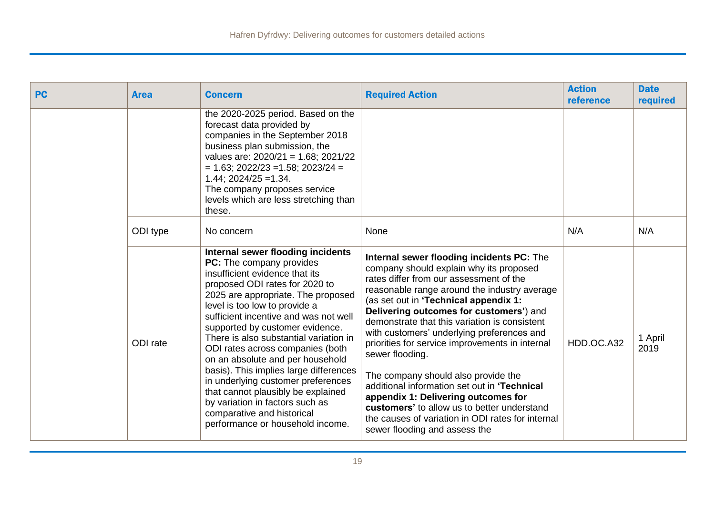| <b>PC</b> | <b>Area</b> | <b>Concern</b>                                                                                                                                                                                                                                                                                                                                                                                                                                                                                                                                                                                                                    | <b>Required Action</b>                                                                                                                                                                                                                                                                                                                                                                                                                                                                                                                                                                                                                                                                                      | <b>Action</b><br>reference | <b>Date</b><br>required |
|-----------|-------------|-----------------------------------------------------------------------------------------------------------------------------------------------------------------------------------------------------------------------------------------------------------------------------------------------------------------------------------------------------------------------------------------------------------------------------------------------------------------------------------------------------------------------------------------------------------------------------------------------------------------------------------|-------------------------------------------------------------------------------------------------------------------------------------------------------------------------------------------------------------------------------------------------------------------------------------------------------------------------------------------------------------------------------------------------------------------------------------------------------------------------------------------------------------------------------------------------------------------------------------------------------------------------------------------------------------------------------------------------------------|----------------------------|-------------------------|
|           |             | the 2020-2025 period. Based on the<br>forecast data provided by<br>companies in the September 2018<br>business plan submission, the<br>values are: $2020/21 = 1.68$ ; $2021/22$<br>$= 1.63$ ; 2022/23 = 1.58; 2023/24 =<br>$1.44$ ; $2024/25 = 1.34$ .<br>The company proposes service<br>levels which are less stretching than<br>these.                                                                                                                                                                                                                                                                                         |                                                                                                                                                                                                                                                                                                                                                                                                                                                                                                                                                                                                                                                                                                             |                            |                         |
|           | ODI type    | No concern                                                                                                                                                                                                                                                                                                                                                                                                                                                                                                                                                                                                                        | None                                                                                                                                                                                                                                                                                                                                                                                                                                                                                                                                                                                                                                                                                                        | N/A                        | N/A                     |
|           | ODI rate    | Internal sewer flooding incidents<br>PC: The company provides<br>insufficient evidence that its<br>proposed ODI rates for 2020 to<br>2025 are appropriate. The proposed<br>level is too low to provide a<br>sufficient incentive and was not well<br>supported by customer evidence.<br>There is also substantial variation in<br>ODI rates across companies (both<br>on an absolute and per household<br>basis). This implies large differences<br>in underlying customer preferences<br>that cannot plausibly be explained<br>by variation in factors such as<br>comparative and historical<br>performance or household income. | Internal sewer flooding incidents PC: The<br>company should explain why its proposed<br>rates differ from our assessment of the<br>reasonable range around the industry average<br>(as set out in 'Technical appendix 1:<br>Delivering outcomes for customers') and<br>demonstrate that this variation is consistent<br>with customers' underlying preferences and<br>priorities for service improvements in internal<br>sewer flooding.<br>The company should also provide the<br>additional information set out in 'Technical<br>appendix 1: Delivering outcomes for<br>customers' to allow us to better understand<br>the causes of variation in ODI rates for internal<br>sewer flooding and assess the | HDD.OC.A32                 | 1 April<br>2019         |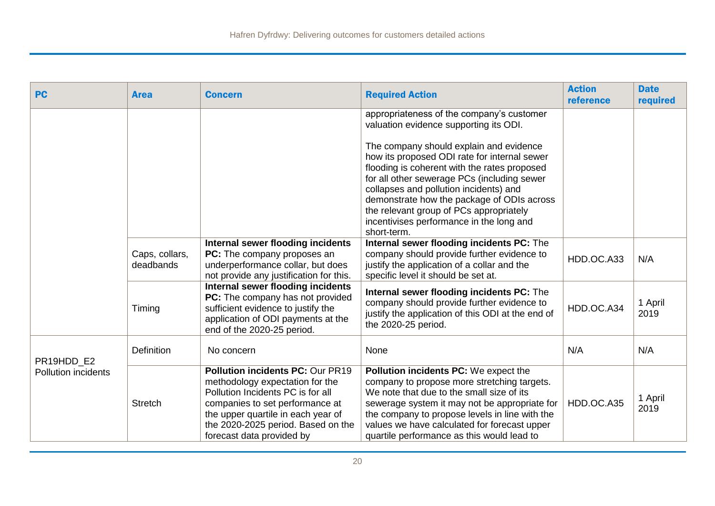| <b>PC</b>                                | <b>Area</b>                 | <b>Concern</b>                                                                                                                                                                                                                                              | <b>Required Action</b>                                                                                                                                                                                                                                                                                                                                                                                                                                                      | <b>Action</b><br>reference | <b>Date</b><br>required |
|------------------------------------------|-----------------------------|-------------------------------------------------------------------------------------------------------------------------------------------------------------------------------------------------------------------------------------------------------------|-----------------------------------------------------------------------------------------------------------------------------------------------------------------------------------------------------------------------------------------------------------------------------------------------------------------------------------------------------------------------------------------------------------------------------------------------------------------------------|----------------------------|-------------------------|
|                                          |                             |                                                                                                                                                                                                                                                             | appropriateness of the company's customer<br>valuation evidence supporting its ODI.<br>The company should explain and evidence<br>how its proposed ODI rate for internal sewer<br>flooding is coherent with the rates proposed<br>for all other sewerage PCs (including sewer<br>collapses and pollution incidents) and<br>demonstrate how the package of ODIs across<br>the relevant group of PCs appropriately<br>incentivises performance in the long and<br>short-term. |                            |                         |
|                                          | Caps, collars,<br>deadbands | Internal sewer flooding incidents<br>PC: The company proposes an<br>underperformance collar, but does<br>not provide any justification for this.                                                                                                            | Internal sewer flooding incidents PC: The<br>company should provide further evidence to<br>justify the application of a collar and the<br>specific level it should be set at.                                                                                                                                                                                                                                                                                               | HDD.OC.A33                 | N/A                     |
|                                          | Timing                      | Internal sewer flooding incidents<br>PC: The company has not provided<br>sufficient evidence to justify the<br>application of ODI payments at the<br>end of the 2020-25 period.                                                                             | Internal sewer flooding incidents PC: The<br>company should provide further evidence to<br>justify the application of this ODI at the end of<br>the 2020-25 period.                                                                                                                                                                                                                                                                                                         | HDD.OC.A34                 | 1 April<br>2019         |
|                                          | <b>Definition</b>           | No concern                                                                                                                                                                                                                                                  | None                                                                                                                                                                                                                                                                                                                                                                                                                                                                        | N/A                        | N/A                     |
| PR19HDD E2<br><b>Pollution incidents</b> | <b>Stretch</b>              | <b>Pollution incidents PC: Our PR19</b><br>methodology expectation for the<br>Pollution Incidents PC is for all<br>companies to set performance at<br>the upper quartile in each year of<br>the 2020-2025 period. Based on the<br>forecast data provided by | Pollution incidents PC: We expect the<br>company to propose more stretching targets.<br>We note that due to the small size of its<br>sewerage system it may not be appropriate for<br>the company to propose levels in line with the<br>values we have calculated for forecast upper<br>quartile performance as this would lead to                                                                                                                                          | HDD.OC.A35                 | 1 April<br>2019         |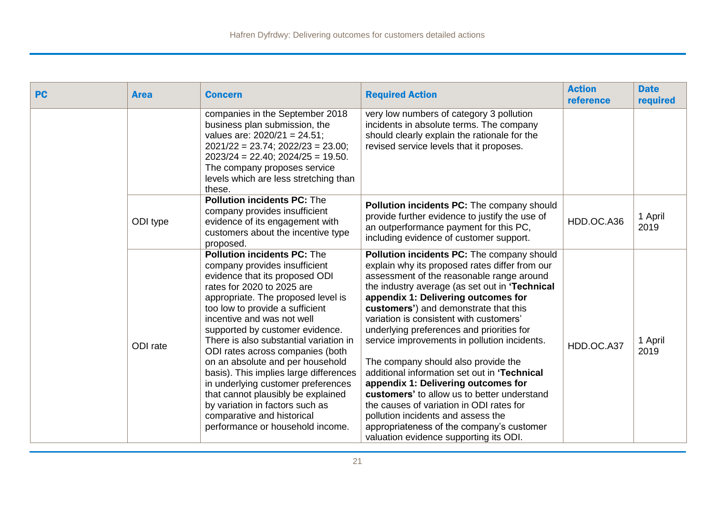| <b>PC</b> | <b>Area</b> | <b>Concern</b>                                                                                                                                                                                                                                                                                                                                                                                                                                                                                                                                                                                                             | <b>Required Action</b>                                                                                                                                                                                                                                                                                                                                                                                                                                                                                                                                                                                                                                                                                                                                                    | <b>Action</b><br>reference | <b>Date</b><br>required |
|-----------|-------------|----------------------------------------------------------------------------------------------------------------------------------------------------------------------------------------------------------------------------------------------------------------------------------------------------------------------------------------------------------------------------------------------------------------------------------------------------------------------------------------------------------------------------------------------------------------------------------------------------------------------------|---------------------------------------------------------------------------------------------------------------------------------------------------------------------------------------------------------------------------------------------------------------------------------------------------------------------------------------------------------------------------------------------------------------------------------------------------------------------------------------------------------------------------------------------------------------------------------------------------------------------------------------------------------------------------------------------------------------------------------------------------------------------------|----------------------------|-------------------------|
|           |             | companies in the September 2018<br>business plan submission, the<br>values are: 2020/21 = 24.51;<br>$2021/22 = 23.74$ ; $2022/23 = 23.00$ ;<br>$2023/24 = 22.40$ ; $2024/25 = 19.50$ .<br>The company proposes service<br>levels which are less stretching than<br>these.                                                                                                                                                                                                                                                                                                                                                  | very low numbers of category 3 pollution<br>incidents in absolute terms. The company<br>should clearly explain the rationale for the<br>revised service levels that it proposes.                                                                                                                                                                                                                                                                                                                                                                                                                                                                                                                                                                                          |                            |                         |
|           | ODI type    | <b>Pollution incidents PC: The</b><br>company provides insufficient<br>evidence of its engagement with<br>customers about the incentive type<br>proposed.                                                                                                                                                                                                                                                                                                                                                                                                                                                                  | <b>Pollution incidents PC:</b> The company should<br>provide further evidence to justify the use of<br>an outperformance payment for this PC,<br>including evidence of customer support.                                                                                                                                                                                                                                                                                                                                                                                                                                                                                                                                                                                  | HDD.OC.A36                 | 1 April<br>2019         |
|           | ODI rate    | <b>Pollution incidents PC: The</b><br>company provides insufficient<br>evidence that its proposed ODI<br>rates for 2020 to 2025 are<br>appropriate. The proposed level is<br>too low to provide a sufficient<br>incentive and was not well<br>supported by customer evidence.<br>There is also substantial variation in<br>ODI rates across companies (both<br>on an absolute and per household<br>basis). This implies large differences<br>in underlying customer preferences<br>that cannot plausibly be explained<br>by variation in factors such as<br>comparative and historical<br>performance or household income. | Pollution incidents PC: The company should<br>explain why its proposed rates differ from our<br>assessment of the reasonable range around<br>the industry average (as set out in 'Technical<br>appendix 1: Delivering outcomes for<br>customers') and demonstrate that this<br>variation is consistent with customers'<br>underlying preferences and priorities for<br>service improvements in pollution incidents.<br>The company should also provide the<br>additional information set out in 'Technical<br>appendix 1: Delivering outcomes for<br>customers' to allow us to better understand<br>the causes of variation in ODI rates for<br>pollution incidents and assess the<br>appropriateness of the company's customer<br>valuation evidence supporting its ODI. | HDD.OC.A37                 | 1 April<br>2019         |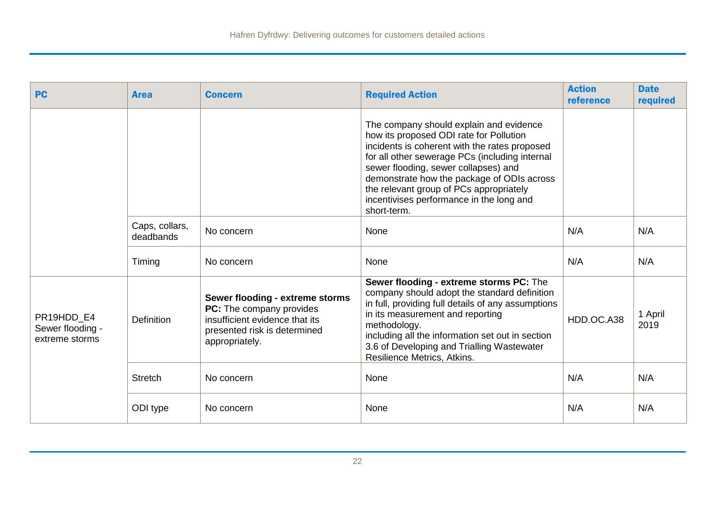| <b>PC</b>                                        | <b>Area</b>                 | <b>Concern</b>                                                                                                                                  | <b>Required Action</b>                                                                                                                                                                                                                                                                                                                                                            | <b>Action</b><br>reference | <b>Date</b><br>required |
|--------------------------------------------------|-----------------------------|-------------------------------------------------------------------------------------------------------------------------------------------------|-----------------------------------------------------------------------------------------------------------------------------------------------------------------------------------------------------------------------------------------------------------------------------------------------------------------------------------------------------------------------------------|----------------------------|-------------------------|
|                                                  |                             |                                                                                                                                                 | The company should explain and evidence<br>how its proposed ODI rate for Pollution<br>incidents is coherent with the rates proposed<br>for all other sewerage PCs (including internal<br>sewer flooding, sewer collapses) and<br>demonstrate how the package of ODIs across<br>the relevant group of PCs appropriately<br>incentivises performance in the long and<br>short-term. |                            |                         |
|                                                  | Caps, collars,<br>deadbands | No concern                                                                                                                                      | <b>None</b>                                                                                                                                                                                                                                                                                                                                                                       | N/A                        | N/A                     |
|                                                  | Timing                      | No concern                                                                                                                                      | None                                                                                                                                                                                                                                                                                                                                                                              | N/A                        | N/A                     |
| PR19HDD E4<br>Sewer flooding -<br>extreme storms | <b>Definition</b>           | Sewer flooding - extreme storms<br>PC: The company provides<br>insufficient evidence that its<br>presented risk is determined<br>appropriately. | Sewer flooding - extreme storms PC: The<br>company should adopt the standard definition<br>in full, providing full details of any assumptions<br>in its measurement and reporting<br>methodology.<br>including all the information set out in section<br>3.6 of Developing and Trialling Wastewater<br>Resilience Metrics, Atkins.                                                | HDD.OC.A38                 | 1 April<br>2019         |
|                                                  | <b>Stretch</b>              | No concern                                                                                                                                      | None                                                                                                                                                                                                                                                                                                                                                                              | N/A                        | N/A                     |
|                                                  | ODI type                    | No concern                                                                                                                                      | None                                                                                                                                                                                                                                                                                                                                                                              | N/A                        | N/A                     |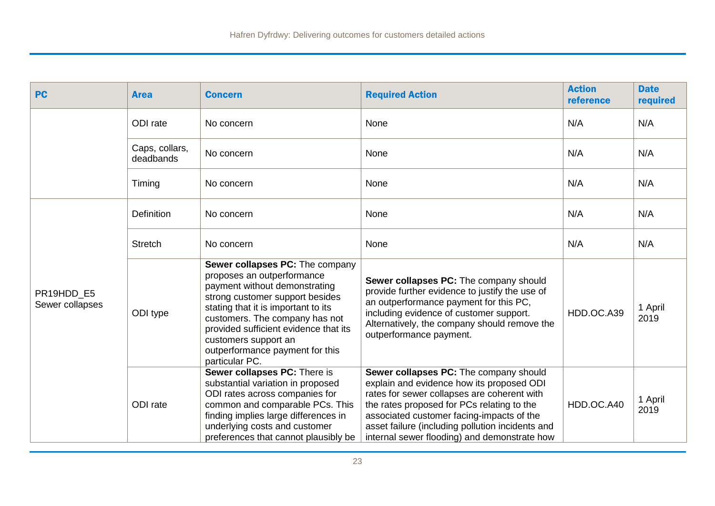| <b>PC</b>                     | <b>Area</b>                 | <b>Concern</b>                                                                                                                                                                                                                                                                                                                   | <b>Required Action</b>                                                                                                                                                                                                                                                                                                            | <b>Action</b><br>reference | <b>Date</b><br>required |
|-------------------------------|-----------------------------|----------------------------------------------------------------------------------------------------------------------------------------------------------------------------------------------------------------------------------------------------------------------------------------------------------------------------------|-----------------------------------------------------------------------------------------------------------------------------------------------------------------------------------------------------------------------------------------------------------------------------------------------------------------------------------|----------------------------|-------------------------|
|                               | ODI rate                    | No concern                                                                                                                                                                                                                                                                                                                       | None                                                                                                                                                                                                                                                                                                                              | N/A                        | N/A                     |
|                               | Caps, collars,<br>deadbands | No concern                                                                                                                                                                                                                                                                                                                       | None                                                                                                                                                                                                                                                                                                                              | N/A                        | N/A                     |
|                               | Timing                      | No concern                                                                                                                                                                                                                                                                                                                       | None                                                                                                                                                                                                                                                                                                                              | N/A                        | N/A                     |
|                               | Definition                  | No concern                                                                                                                                                                                                                                                                                                                       | None                                                                                                                                                                                                                                                                                                                              | N/A                        | N/A                     |
|                               | <b>Stretch</b>              | No concern                                                                                                                                                                                                                                                                                                                       | None                                                                                                                                                                                                                                                                                                                              | N/A                        | N/A                     |
| PR19HDD E5<br>Sewer collapses | ODI type                    | Sewer collapses PC: The company<br>proposes an outperformance<br>payment without demonstrating<br>strong customer support besides<br>stating that it is important to its<br>customers. The company has not<br>provided sufficient evidence that its<br>customers support an<br>outperformance payment for this<br>particular PC. | Sewer collapses PC: The company should<br>provide further evidence to justify the use of<br>an outperformance payment for this PC,<br>including evidence of customer support.<br>Alternatively, the company should remove the<br>outperformance payment.                                                                          | HDD.OC.A39                 | 1 April<br>2019         |
|                               | ODI rate                    | Sewer collapses PC: There is<br>substantial variation in proposed<br>ODI rates across companies for<br>common and comparable PCs. This<br>finding implies large differences in<br>underlying costs and customer<br>preferences that cannot plausibly be                                                                          | Sewer collapses PC: The company should<br>explain and evidence how its proposed ODI<br>rates for sewer collapses are coherent with<br>the rates proposed for PCs relating to the<br>associated customer facing-impacts of the<br>asset failure (including pollution incidents and<br>internal sewer flooding) and demonstrate how | HDD.OC.A40                 | 1 April<br>2019         |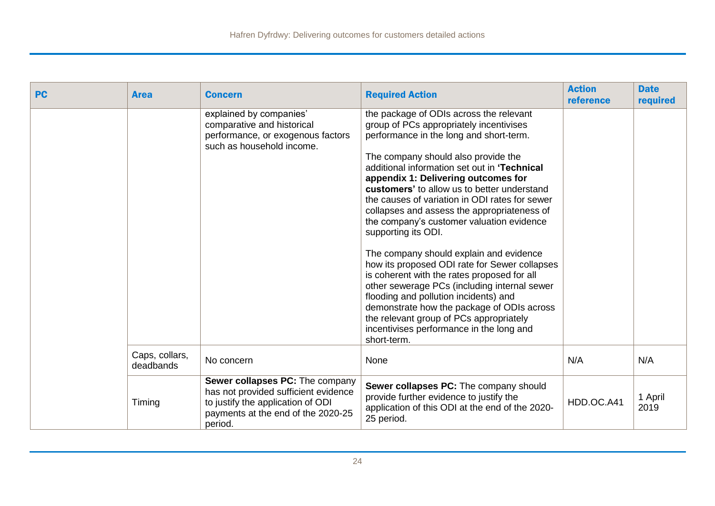| <b>PC</b> | <b>Area</b>                 | <b>Concern</b>                                                                                                                                                | <b>Required Action</b>                                                                                                                                                                                                                                                                                                                                                                                                                                                                                                                                                                                                                                                                                                                                                                                                                                                  | <b>Action</b><br>reference | <b>Date</b><br>required |
|-----------|-----------------------------|---------------------------------------------------------------------------------------------------------------------------------------------------------------|-------------------------------------------------------------------------------------------------------------------------------------------------------------------------------------------------------------------------------------------------------------------------------------------------------------------------------------------------------------------------------------------------------------------------------------------------------------------------------------------------------------------------------------------------------------------------------------------------------------------------------------------------------------------------------------------------------------------------------------------------------------------------------------------------------------------------------------------------------------------------|----------------------------|-------------------------|
|           |                             | explained by companies'<br>comparative and historical<br>performance, or exogenous factors<br>such as household income.                                       | the package of ODIs across the relevant<br>group of PCs appropriately incentivises<br>performance in the long and short-term.<br>The company should also provide the<br>additional information set out in 'Technical<br>appendix 1: Delivering outcomes for<br>customers' to allow us to better understand<br>the causes of variation in ODI rates for sewer<br>collapses and assess the appropriateness of<br>the company's customer valuation evidence<br>supporting its ODI.<br>The company should explain and evidence<br>how its proposed ODI rate for Sewer collapses<br>is coherent with the rates proposed for all<br>other sewerage PCs (including internal sewer<br>flooding and pollution incidents) and<br>demonstrate how the package of ODIs across<br>the relevant group of PCs appropriately<br>incentivises performance in the long and<br>short-term. |                            |                         |
|           | Caps, collars,<br>deadbands | No concern                                                                                                                                                    | None                                                                                                                                                                                                                                                                                                                                                                                                                                                                                                                                                                                                                                                                                                                                                                                                                                                                    | N/A                        | N/A                     |
|           | Timing                      | Sewer collapses PC: The company<br>has not provided sufficient evidence<br>to justify the application of ODI<br>payments at the end of the 2020-25<br>period. | Sewer collapses PC: The company should<br>provide further evidence to justify the<br>application of this ODI at the end of the 2020-<br>25 period.                                                                                                                                                                                                                                                                                                                                                                                                                                                                                                                                                                                                                                                                                                                      | HDD.OC.A41                 | 1 April<br>2019         |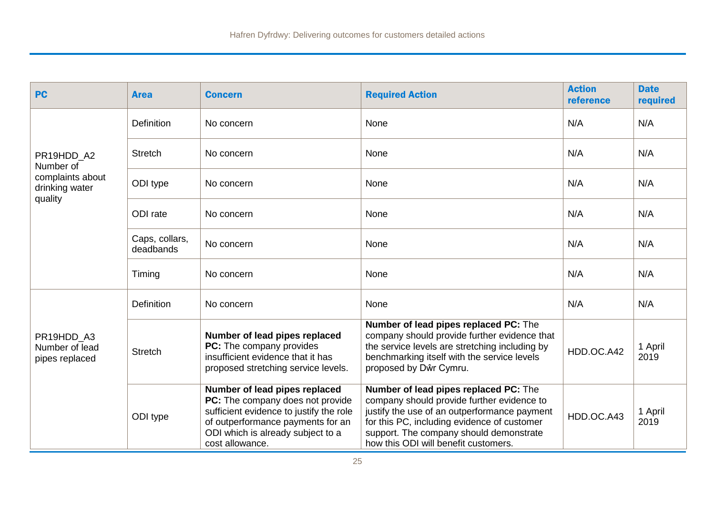| <b>PC</b>                                      | <b>Area</b>                 | <b>Concern</b>                                                                                                                                                                                            | <b>Required Action</b>                                                                                                                                                                                                                                                | <b>Action</b><br>reference | <b>Date</b><br>required |
|------------------------------------------------|-----------------------------|-----------------------------------------------------------------------------------------------------------------------------------------------------------------------------------------------------------|-----------------------------------------------------------------------------------------------------------------------------------------------------------------------------------------------------------------------------------------------------------------------|----------------------------|-------------------------|
|                                                | Definition                  | No concern                                                                                                                                                                                                | None                                                                                                                                                                                                                                                                  | N/A                        | N/A                     |
| PR19HDD A2<br>Number of                        | <b>Stretch</b>              | No concern                                                                                                                                                                                                | None                                                                                                                                                                                                                                                                  | N/A                        | N/A                     |
| complaints about<br>drinking water<br>quality  | ODI type                    | No concern                                                                                                                                                                                                | None                                                                                                                                                                                                                                                                  | N/A                        | N/A                     |
|                                                | ODI rate                    | No concern                                                                                                                                                                                                | None                                                                                                                                                                                                                                                                  | N/A                        | N/A                     |
|                                                | Caps, collars,<br>deadbands | No concern                                                                                                                                                                                                | None                                                                                                                                                                                                                                                                  | N/A                        | N/A                     |
|                                                | Timing                      | No concern                                                                                                                                                                                                | None                                                                                                                                                                                                                                                                  | N/A                        | N/A                     |
|                                                | Definition                  | No concern                                                                                                                                                                                                | None                                                                                                                                                                                                                                                                  | N/A                        | N/A                     |
| PR19HDD_A3<br>Number of lead<br>pipes replaced | <b>Stretch</b>              | Number of lead pipes replaced<br>PC: The company provides<br>insufficient evidence that it has<br>proposed stretching service levels.                                                                     | Number of lead pipes replaced PC: The<br>company should provide further evidence that<br>the service levels are stretching including by<br>benchmarking itself with the service levels<br>proposed by Dŵr Cymru.                                                      | HDD.OC.A42                 | 1 April<br>2019         |
|                                                | ODI type                    | Number of lead pipes replaced<br>PC: The company does not provide<br>sufficient evidence to justify the role<br>of outperformance payments for an<br>ODI which is already subject to a<br>cost allowance. | Number of lead pipes replaced PC: The<br>company should provide further evidence to<br>justify the use of an outperformance payment<br>for this PC, including evidence of customer<br>support. The company should demonstrate<br>how this ODI will benefit customers. | HDD.OC.A43                 | 1 April<br>2019         |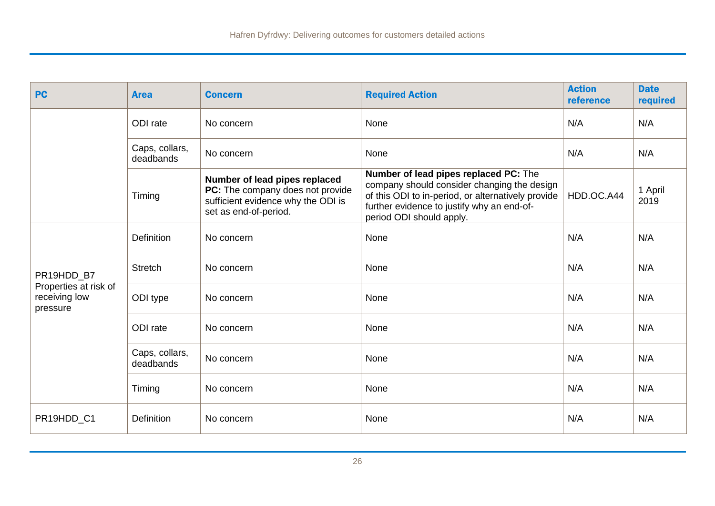| <b>PC</b>                                          | <b>Area</b>                 | <b>Concern</b>                                                                                                                   | <b>Required Action</b>                                                                                                                                                                                               | <b>Action</b><br>reference | <b>Date</b><br>required |
|----------------------------------------------------|-----------------------------|----------------------------------------------------------------------------------------------------------------------------------|----------------------------------------------------------------------------------------------------------------------------------------------------------------------------------------------------------------------|----------------------------|-------------------------|
|                                                    | ODI rate                    | No concern                                                                                                                       | None                                                                                                                                                                                                                 | N/A                        | N/A                     |
|                                                    | Caps, collars,<br>deadbands | No concern                                                                                                                       | None                                                                                                                                                                                                                 | N/A                        | N/A                     |
|                                                    | Timing                      | Number of lead pipes replaced<br>PC: The company does not provide<br>sufficient evidence why the ODI is<br>set as end-of-period. | Number of lead pipes replaced PC: The<br>company should consider changing the design<br>of this ODI to in-period, or alternatively provide<br>further evidence to justify why an end-of-<br>period ODI should apply. | HDD.OC.A44                 | 1 April<br>2019         |
|                                                    | <b>Definition</b>           | No concern                                                                                                                       | None                                                                                                                                                                                                                 | N/A                        | N/A                     |
| PR19HDD B7                                         | <b>Stretch</b>              | No concern                                                                                                                       | None                                                                                                                                                                                                                 | N/A                        | N/A                     |
| Properties at risk of<br>receiving low<br>pressure | ODI type                    | No concern                                                                                                                       | None                                                                                                                                                                                                                 | N/A                        | N/A                     |
|                                                    | ODI rate                    | No concern                                                                                                                       | None                                                                                                                                                                                                                 | N/A                        | N/A                     |
|                                                    | Caps, collars,<br>deadbands | No concern                                                                                                                       | None                                                                                                                                                                                                                 | N/A                        | N/A                     |
|                                                    | Timing                      | No concern                                                                                                                       | None                                                                                                                                                                                                                 | N/A                        | N/A                     |
| PR19HDD_C1                                         | Definition                  | No concern                                                                                                                       | None                                                                                                                                                                                                                 | N/A                        | N/A                     |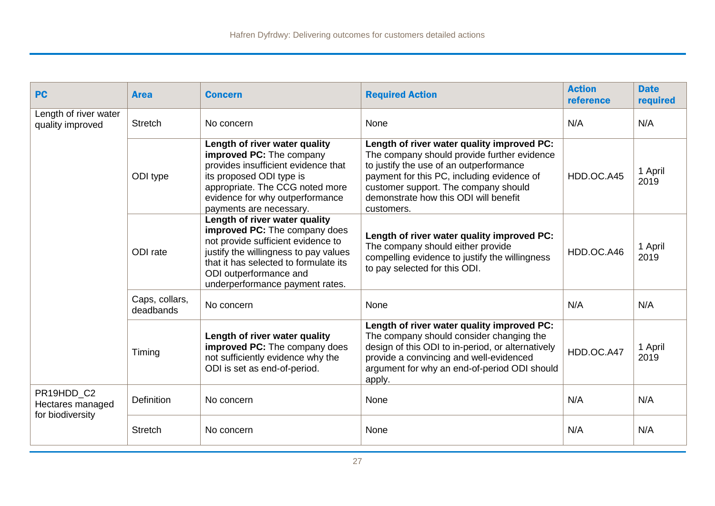| <b>PC</b>                                 | <b>Area</b>                 | <b>Concern</b>                                                                                                                                                                                                                                      | <b>Required Action</b>                                                                                                                                                                                                                                                            | <b>Action</b><br>reference | <b>Date</b><br>required |
|-------------------------------------------|-----------------------------|-----------------------------------------------------------------------------------------------------------------------------------------------------------------------------------------------------------------------------------------------------|-----------------------------------------------------------------------------------------------------------------------------------------------------------------------------------------------------------------------------------------------------------------------------------|----------------------------|-------------------------|
| Length of river water<br>quality improved | <b>Stretch</b>              | No concern                                                                                                                                                                                                                                          | None                                                                                                                                                                                                                                                                              | N/A                        | N/A                     |
|                                           | ODI type                    | Length of river water quality<br>improved PC: The company<br>provides insufficient evidence that<br>its proposed ODI type is<br>appropriate. The CCG noted more<br>evidence for why outperformance<br>payments are necessary.                       | Length of river water quality improved PC:<br>The company should provide further evidence<br>to justify the use of an outperformance<br>payment for this PC, including evidence of<br>customer support. The company should<br>demonstrate how this ODI will benefit<br>customers. | HDD.OC.A45                 | 1 April<br>2019         |
|                                           | ODI rate                    | Length of river water quality<br>improved PC: The company does<br>not provide sufficient evidence to<br>justify the willingness to pay values<br>that it has selected to formulate its<br>ODI outperformance and<br>underperformance payment rates. | Length of river water quality improved PC:<br>The company should either provide<br>compelling evidence to justify the willingness<br>to pay selected for this ODI.                                                                                                                | HDD.OC.A46                 | 1 April<br>2019         |
|                                           | Caps, collars,<br>deadbands | No concern                                                                                                                                                                                                                                          | None                                                                                                                                                                                                                                                                              | N/A                        | N/A                     |
|                                           | Timing                      | Length of river water quality<br>improved PC: The company does<br>not sufficiently evidence why the<br>ODI is set as end-of-period.                                                                                                                 | Length of river water quality improved PC:<br>The company should consider changing the<br>design of this ODI to in-period, or alternatively<br>provide a convincing and well-evidenced<br>argument for why an end-of-period ODI should<br>apply.                                  | HDD.OC.A47                 | 1 April<br>2019         |
| PR19HDD_C2<br>Hectares managed            | <b>Definition</b>           | No concern                                                                                                                                                                                                                                          | None                                                                                                                                                                                                                                                                              | N/A                        | N/A                     |
| for biodiversity                          | <b>Stretch</b>              | No concern                                                                                                                                                                                                                                          | None                                                                                                                                                                                                                                                                              | N/A                        | N/A                     |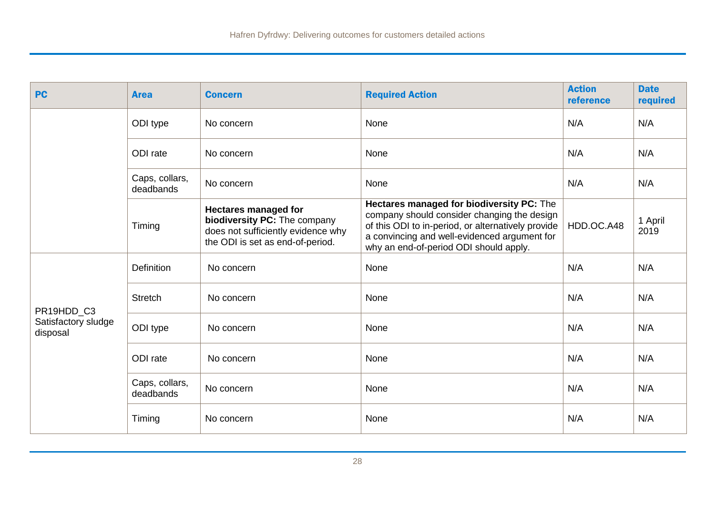| <b>PC</b>                       | <b>Area</b>                 | <b>Concern</b>                                                                                                                        | <b>Required Action</b>                                                                                                                                                                                                                   | <b>Action</b><br>reference | <b>Date</b><br>required |
|---------------------------------|-----------------------------|---------------------------------------------------------------------------------------------------------------------------------------|------------------------------------------------------------------------------------------------------------------------------------------------------------------------------------------------------------------------------------------|----------------------------|-------------------------|
|                                 | ODI type                    | No concern                                                                                                                            | None                                                                                                                                                                                                                                     | N/A                        | N/A                     |
|                                 | ODI rate                    | No concern                                                                                                                            | None                                                                                                                                                                                                                                     | N/A                        | N/A                     |
|                                 | Caps, collars,<br>deadbands | No concern                                                                                                                            | None                                                                                                                                                                                                                                     | N/A                        | N/A                     |
|                                 | Timing                      | <b>Hectares managed for</b><br>biodiversity PC: The company<br>does not sufficiently evidence why<br>the ODI is set as end-of-period. | Hectares managed for biodiversity PC: The<br>company should consider changing the design<br>of this ODI to in-period, or alternatively provide<br>a convincing and well-evidenced argument for<br>why an end-of-period ODI should apply. | HDD.OC.A48                 | 1 April<br>2019         |
|                                 | <b>Definition</b>           | No concern                                                                                                                            | None                                                                                                                                                                                                                                     | N/A                        | N/A                     |
| PR19HDD_C3                      | <b>Stretch</b>              | No concern                                                                                                                            | None                                                                                                                                                                                                                                     | N/A                        | N/A                     |
| Satisfactory sludge<br>disposal | ODI type                    | No concern                                                                                                                            | None                                                                                                                                                                                                                                     | N/A                        | N/A                     |
|                                 | ODI rate                    | No concern                                                                                                                            | None                                                                                                                                                                                                                                     | N/A                        | N/A                     |
|                                 | Caps, collars,<br>deadbands | No concern                                                                                                                            | None                                                                                                                                                                                                                                     | N/A                        | N/A                     |
|                                 | Timing                      | No concern                                                                                                                            | None                                                                                                                                                                                                                                     | N/A                        | N/A                     |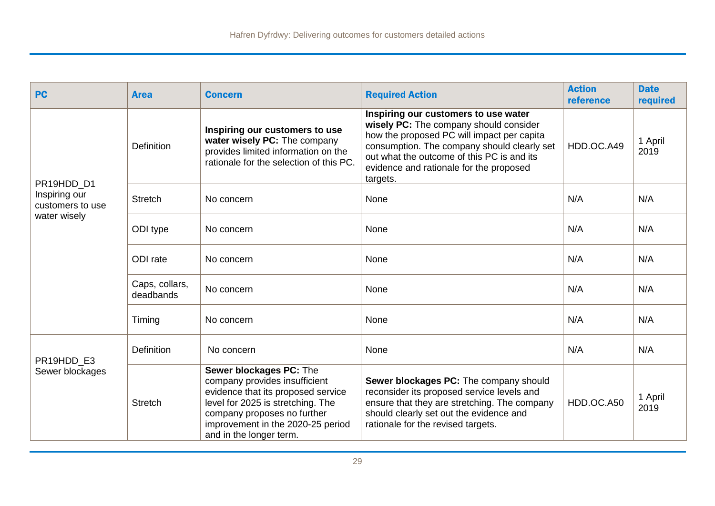| <b>PC</b>                                         | <b>Area</b>                 | <b>Concern</b>                                                                                                                                                                                                                     | <b>Required Action</b>                                                                                                                                                                                                                                                           | <b>Action</b><br>reference | <b>Date</b><br>required |
|---------------------------------------------------|-----------------------------|------------------------------------------------------------------------------------------------------------------------------------------------------------------------------------------------------------------------------------|----------------------------------------------------------------------------------------------------------------------------------------------------------------------------------------------------------------------------------------------------------------------------------|----------------------------|-------------------------|
| PR19HDD D1                                        | <b>Definition</b>           | Inspiring our customers to use<br>water wisely PC: The company<br>provides limited information on the<br>rationale for the selection of this PC.                                                                                   | Inspiring our customers to use water<br>wisely PC: The company should consider<br>how the proposed PC will impact per capita<br>consumption. The company should clearly set<br>out what the outcome of this PC is and its<br>evidence and rationale for the proposed<br>targets. | HDD.OC.A49                 | 1 April<br>2019         |
| Inspiring our<br>customers to use<br>water wisely | <b>Stretch</b>              | No concern                                                                                                                                                                                                                         | None                                                                                                                                                                                                                                                                             | N/A                        | N/A                     |
|                                                   | ODI type                    | No concern                                                                                                                                                                                                                         | None                                                                                                                                                                                                                                                                             | N/A                        | N/A                     |
|                                                   | ODI rate                    | No concern                                                                                                                                                                                                                         | None                                                                                                                                                                                                                                                                             | N/A                        | N/A                     |
|                                                   | Caps, collars,<br>deadbands | No concern                                                                                                                                                                                                                         | None                                                                                                                                                                                                                                                                             | N/A                        | N/A                     |
|                                                   | Timing                      | No concern                                                                                                                                                                                                                         | None                                                                                                                                                                                                                                                                             | N/A                        | N/A                     |
| PR19HDD E3<br>Sewer blockages                     | <b>Definition</b>           | No concern                                                                                                                                                                                                                         | None                                                                                                                                                                                                                                                                             | N/A                        | N/A                     |
|                                                   | <b>Stretch</b>              | Sewer blockages PC: The<br>company provides insufficient<br>evidence that its proposed service<br>level for 2025 is stretching. The<br>company proposes no further<br>improvement in the 2020-25 period<br>and in the longer term. | Sewer blockages PC: The company should<br>reconsider its proposed service levels and<br>ensure that they are stretching. The company<br>should clearly set out the evidence and<br>rationale for the revised targets.                                                            | HDD.OC.A50                 | 1 April<br>2019         |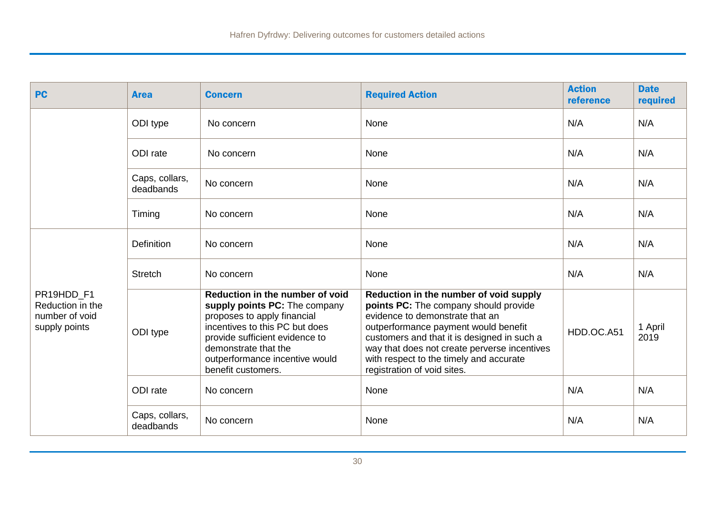| <b>PC</b>                                                         | <b>Area</b>                 | <b>Concern</b>                                                                                                                                                                                                                                      | <b>Required Action</b>                                                                                                                                                                                                                                                                                                              | <b>Action</b><br>reference | <b>Date</b><br>required |
|-------------------------------------------------------------------|-----------------------------|-----------------------------------------------------------------------------------------------------------------------------------------------------------------------------------------------------------------------------------------------------|-------------------------------------------------------------------------------------------------------------------------------------------------------------------------------------------------------------------------------------------------------------------------------------------------------------------------------------|----------------------------|-------------------------|
|                                                                   | ODI type                    | No concern                                                                                                                                                                                                                                          | None                                                                                                                                                                                                                                                                                                                                | N/A                        | N/A                     |
|                                                                   | ODI rate                    | No concern                                                                                                                                                                                                                                          | None                                                                                                                                                                                                                                                                                                                                | N/A                        | N/A                     |
|                                                                   | Caps, collars,<br>deadbands | No concern                                                                                                                                                                                                                                          | None                                                                                                                                                                                                                                                                                                                                | N/A                        | N/A                     |
|                                                                   | Timing                      | No concern                                                                                                                                                                                                                                          | None                                                                                                                                                                                                                                                                                                                                | N/A                        | N/A                     |
|                                                                   | Definition                  | No concern                                                                                                                                                                                                                                          | None                                                                                                                                                                                                                                                                                                                                | N/A                        | N/A                     |
|                                                                   | <b>Stretch</b>              | No concern                                                                                                                                                                                                                                          | None                                                                                                                                                                                                                                                                                                                                | N/A                        | N/A                     |
| PR19HDD F1<br>Reduction in the<br>number of void<br>supply points | ODI type                    | Reduction in the number of void<br>supply points PC: The company<br>proposes to apply financial<br>incentives to this PC but does<br>provide sufficient evidence to<br>demonstrate that the<br>outperformance incentive would<br>benefit customers. | Reduction in the number of void supply<br>points PC: The company should provide<br>evidence to demonstrate that an<br>outperformance payment would benefit<br>customers and that it is designed in such a<br>way that does not create perverse incentives<br>with respect to the timely and accurate<br>registration of void sites. | HDD.OC.A51                 | 1 April<br>2019         |
|                                                                   | ODI rate                    | No concern                                                                                                                                                                                                                                          | None                                                                                                                                                                                                                                                                                                                                | N/A                        | N/A                     |
|                                                                   | Caps, collars,<br>deadbands | No concern                                                                                                                                                                                                                                          | None                                                                                                                                                                                                                                                                                                                                | N/A                        | N/A                     |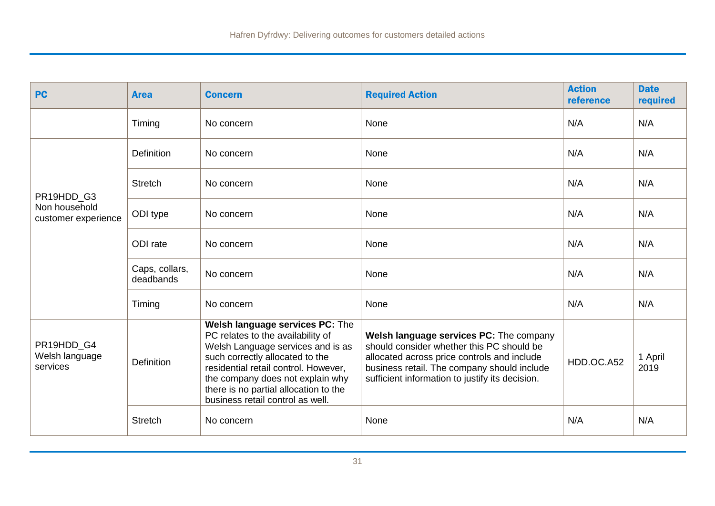| <b>PC</b>                                          | <b>Area</b>                 | <b>Concern</b>                                                                                                                                                                                                                                                                                        | <b>Required Action</b>                                                                                                                                                                                                                | <b>Action</b><br>reference | <b>Date</b><br>required |
|----------------------------------------------------|-----------------------------|-------------------------------------------------------------------------------------------------------------------------------------------------------------------------------------------------------------------------------------------------------------------------------------------------------|---------------------------------------------------------------------------------------------------------------------------------------------------------------------------------------------------------------------------------------|----------------------------|-------------------------|
|                                                    | Timing                      | No concern                                                                                                                                                                                                                                                                                            | None                                                                                                                                                                                                                                  | N/A                        | N/A                     |
| PR19HDD_G3<br>Non household<br>customer experience | Definition                  | No concern                                                                                                                                                                                                                                                                                            | None                                                                                                                                                                                                                                  | N/A                        | N/A                     |
|                                                    | <b>Stretch</b>              | No concern                                                                                                                                                                                                                                                                                            | None                                                                                                                                                                                                                                  | N/A                        | N/A                     |
|                                                    | ODI type                    | No concern                                                                                                                                                                                                                                                                                            | None                                                                                                                                                                                                                                  | N/A                        | N/A                     |
|                                                    | ODI rate                    | No concern                                                                                                                                                                                                                                                                                            | None                                                                                                                                                                                                                                  | N/A                        | N/A                     |
|                                                    | Caps, collars,<br>deadbands | No concern                                                                                                                                                                                                                                                                                            | None                                                                                                                                                                                                                                  | N/A                        | N/A                     |
|                                                    | Timing                      | No concern                                                                                                                                                                                                                                                                                            | None                                                                                                                                                                                                                                  | N/A                        | N/A                     |
| PR19HDD_G4<br>Welsh language<br>services           | <b>Definition</b>           | Welsh language services PC: The<br>PC relates to the availability of<br>Welsh Language services and is as<br>such correctly allocated to the<br>residential retail control. However,<br>the company does not explain why<br>there is no partial allocation to the<br>business retail control as well. | Welsh language services PC: The company<br>should consider whether this PC should be<br>allocated across price controls and include<br>business retail. The company should include<br>sufficient information to justify its decision. | HDD.OC.A52                 | 1 April<br>2019         |
|                                                    | <b>Stretch</b>              | No concern                                                                                                                                                                                                                                                                                            | None                                                                                                                                                                                                                                  | N/A                        | N/A                     |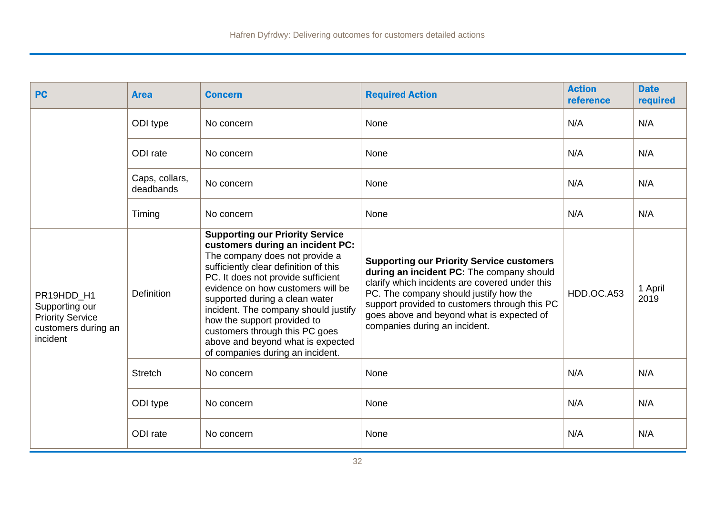| <b>PC</b>                                                                                  | <b>Area</b>                 | <b>Concern</b>                                                                                                                                                                                                                                                                                                                                                                                                                                       | <b>Required Action</b>                                                                                                                                                                                                                                                                                                   | <b>Action</b><br>reference | <b>Date</b><br>required |
|--------------------------------------------------------------------------------------------|-----------------------------|------------------------------------------------------------------------------------------------------------------------------------------------------------------------------------------------------------------------------------------------------------------------------------------------------------------------------------------------------------------------------------------------------------------------------------------------------|--------------------------------------------------------------------------------------------------------------------------------------------------------------------------------------------------------------------------------------------------------------------------------------------------------------------------|----------------------------|-------------------------|
|                                                                                            | ODI type                    | No concern                                                                                                                                                                                                                                                                                                                                                                                                                                           | None                                                                                                                                                                                                                                                                                                                     | N/A                        | N/A                     |
|                                                                                            | ODI rate                    | No concern                                                                                                                                                                                                                                                                                                                                                                                                                                           | None                                                                                                                                                                                                                                                                                                                     | N/A                        | N/A                     |
|                                                                                            | Caps, collars,<br>deadbands | No concern                                                                                                                                                                                                                                                                                                                                                                                                                                           | None                                                                                                                                                                                                                                                                                                                     | N/A                        | N/A                     |
|                                                                                            | Timing                      | No concern                                                                                                                                                                                                                                                                                                                                                                                                                                           | None                                                                                                                                                                                                                                                                                                                     | N/A                        | N/A                     |
| PR19HDD H1<br>Supporting our<br><b>Priority Service</b><br>customers during an<br>incident | Definition                  | <b>Supporting our Priority Service</b><br>customers during an incident PC:<br>The company does not provide a<br>sufficiently clear definition of this<br>PC. It does not provide sufficient<br>evidence on how customers will be<br>supported during a clean water<br>incident. The company should justify<br>how the support provided to<br>customers through this PC goes<br>above and beyond what is expected<br>of companies during an incident. | <b>Supporting our Priority Service customers</b><br>during an incident PC: The company should<br>clarify which incidents are covered under this<br>PC. The company should justify how the<br>support provided to customers through this PC<br>goes above and beyond what is expected of<br>companies during an incident. | HDD.OC.A53                 | 1 April<br>2019         |
|                                                                                            | <b>Stretch</b>              | No concern                                                                                                                                                                                                                                                                                                                                                                                                                                           | None                                                                                                                                                                                                                                                                                                                     | N/A                        | N/A                     |
|                                                                                            | ODI type                    | No concern                                                                                                                                                                                                                                                                                                                                                                                                                                           | None                                                                                                                                                                                                                                                                                                                     | N/A                        | N/A                     |
|                                                                                            | ODI rate                    | No concern                                                                                                                                                                                                                                                                                                                                                                                                                                           | None                                                                                                                                                                                                                                                                                                                     | N/A                        | N/A                     |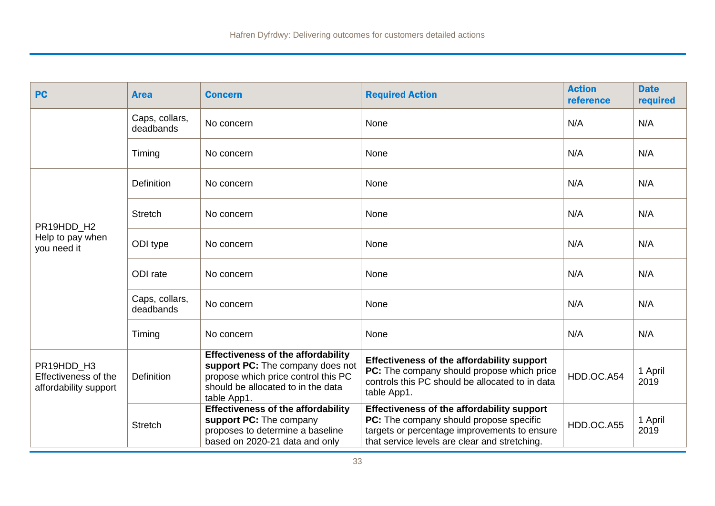| <b>PC</b>                                                   | <b>Area</b>                 | <b>Concern</b>                                                                                                                                                            | <b>Required Action</b>                                                                                                                                                                        | <b>Action</b><br>reference | <b>Date</b><br>required |
|-------------------------------------------------------------|-----------------------------|---------------------------------------------------------------------------------------------------------------------------------------------------------------------------|-----------------------------------------------------------------------------------------------------------------------------------------------------------------------------------------------|----------------------------|-------------------------|
|                                                             | Caps, collars,<br>deadbands | No concern                                                                                                                                                                | None                                                                                                                                                                                          | N/A                        | N/A                     |
|                                                             | Timing                      | No concern                                                                                                                                                                | None                                                                                                                                                                                          | N/A                        | N/A                     |
|                                                             | <b>Definition</b>           | No concern                                                                                                                                                                | None                                                                                                                                                                                          | N/A                        | N/A                     |
| PR19HDD H2<br>Help to pay when<br>you need it               | <b>Stretch</b>              | No concern                                                                                                                                                                | None                                                                                                                                                                                          | N/A                        | N/A                     |
|                                                             | ODI type                    | No concern                                                                                                                                                                | None                                                                                                                                                                                          | N/A                        | N/A                     |
|                                                             | ODI rate                    | No concern                                                                                                                                                                | None                                                                                                                                                                                          | N/A                        | N/A                     |
|                                                             | Caps, collars,<br>deadbands | No concern                                                                                                                                                                | None                                                                                                                                                                                          | N/A                        | N/A                     |
|                                                             | Timing                      | No concern                                                                                                                                                                | None                                                                                                                                                                                          | N/A                        | N/A                     |
| PR19HDD H3<br>Effectiveness of the<br>affordability support | Definition                  | <b>Effectiveness of the affordability</b><br>support PC: The company does not<br>propose which price control this PC<br>should be allocated to in the data<br>table App1. | Effectiveness of the affordability support<br>PC: The company should propose which price<br>controls this PC should be allocated to in data<br>table App1.                                    | HDD.OC.A54                 | 1 April<br>2019         |
|                                                             | <b>Stretch</b>              | <b>Effectiveness of the affordability</b><br>support PC: The company<br>proposes to determine a baseline<br>based on 2020-21 data and only                                | <b>Effectiveness of the affordability support</b><br>PC: The company should propose specific<br>targets or percentage improvements to ensure<br>that service levels are clear and stretching. | HDD.OC.A55                 | 1 April<br>2019         |